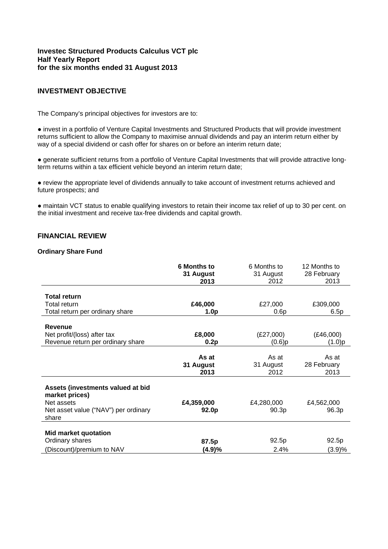# **Investec Structured Products Calculus VCT plc Half Yearly Report for the six months ended 31 August 2013**

# **INVESTMENT OBJECTIVE**

The Company's principal objectives for investors are to:

● invest in a portfolio of Venture Capital Investments and Structured Products that will provide investment returns sufficient to allow the Company to maximise annual dividends and pay an interim return either by way of a special dividend or cash offer for shares on or before an interim return date;

● generate sufficient returns from a portfolio of Venture Capital Investments that will provide attractive longterm returns within a tax efficient vehicle beyond an interim return date;

● review the appropriate level of dividends annually to take account of investment returns achieved and future prospects; and

● maintain VCT status to enable qualifying investors to retain their income tax relief of up to 30 per cent. on the initial investment and receive tax-free dividends and capital growth.

# **FINANCIAL REVIEW**

### **Ordinary Share Fund**

|                                                     | <b>6 Months to</b><br>31 August<br>2013 | 6 Months to<br>31 August<br>2012 | 12 Months to<br>28 February<br>2013 |
|-----------------------------------------------------|-----------------------------------------|----------------------------------|-------------------------------------|
|                                                     |                                         |                                  |                                     |
| <b>Total return</b><br><b>Total return</b>          | £46,000                                 | £27,000                          | £309,000                            |
| Total return per ordinary share                     | 1.0 <sub>p</sub>                        | 0.6p                             | 6.5p                                |
|                                                     |                                         |                                  |                                     |
| <b>Revenue</b>                                      |                                         |                                  |                                     |
| Net profit/(loss) after tax                         | £8,000                                  | (E27,000)                        | (E46,000)                           |
| Revenue return per ordinary share                   | 0.2p                                    | $(0.6)$ p                        | (1.0)p                              |
|                                                     |                                         |                                  |                                     |
|                                                     | As at                                   | As at                            | As at                               |
|                                                     | 31 August                               | 31 August                        | 28 February                         |
|                                                     | 2013                                    | 2012                             | 2013                                |
| Assets (investments valued at bid<br>market prices) |                                         |                                  |                                     |
| Net assets                                          | £4,359,000                              | £4,280,000                       | £4,562,000                          |
| Net asset value ("NAV") per ordinary<br>share       | 92.0p                                   | 90.3p                            | 96.3p                               |
| <b>Mid market quotation</b>                         |                                         |                                  |                                     |
| Ordinary shares                                     | 87.5p                                   | 92.5p                            | 92.5p                               |
| (Discount)/premium to NAV                           | (4.9)%                                  | 2.4%                             | (3.9)%                              |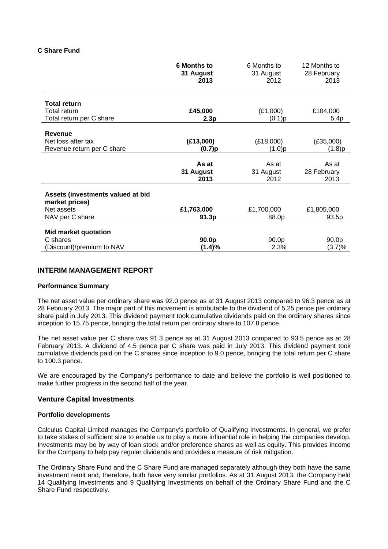### **C Share Fund**

|                                                                                      | <b>6 Months to</b><br>31 August<br>2013 | 6 Months to<br>31 August<br>2012 | 12 Months to<br>28 February<br>2013 |
|--------------------------------------------------------------------------------------|-----------------------------------------|----------------------------------|-------------------------------------|
| <b>Total return</b><br>Total return                                                  | £45,000                                 | (E1,000)                         | £104,000                            |
| Total return per C share                                                             | 2.3p                                    | (0.1)p                           | 5.4p                                |
| Revenue<br>Net loss after tax<br>Revenue return per C share                          | (E13,000)<br>(0.7)p                     | (E18,000)<br>(1.0)p              | (E35,000)<br>(1.8)p                 |
|                                                                                      | As at<br>31 August<br>2013              | As at<br>31 August<br>2012       | As at<br>28 February<br>2013        |
| Assets (investments valued at bid<br>market prices)<br>Net assets<br>NAV per C share | £1,763,000<br>91.3p                     | £1,700,000<br>88.0p              | £1,805,000<br>93.5p                 |
| Mid market quotation<br>C shares<br>(Discount)/premium to NAV                        | 90.0p<br>(1.4)%                         | 90.0p<br>2.3%                    | 90.0p<br>(3.7)%                     |

# **INTERIM MANAGEMENT REPORT**

### **Performance Summary**

The net asset value per ordinary share was 92.0 pence as at 31 August 2013 compared to 96.3 pence as at 28 February 2013. The major part of this movement is attributable to the dividend of 5.25 pence per ordinary share paid in July 2013. This dividend payment took cumulative dividends paid on the ordinary shares since inception to 15.75 pence, bringing the total return per ordinary share to 107.8 pence.

The net asset value per C share was 91.3 pence as at 31 August 2013 compared to 93.5 pence as at 28 February 2013. A dividend of 4.5 pence per C share was paid in July 2013. This dividend payment took cumulative dividends paid on the C shares since inception to 9.0 pence, bringing the total return per C share to 100.3 pence.

We are encouraged by the Company's performance to date and believe the portfolio is well positioned to make further progress in the second half of the year.

### **Venture Capital Investments**

### **Portfolio developments**

Calculus Capital Limited manages the Company's portfolio of Qualifying Investments. In general, we prefer to take stakes of sufficient size to enable us to play a more influential role in helping the companies develop. Investments may be by way of loan stock and/or preference shares as well as equity. This provides income for the Company to help pay regular dividends and provides a measure of risk mitigation.

The Ordinary Share Fund and the C Share Fund are managed separately although they both have the same investment remit and, therefore, both have very similar portfolios. As at 31 August 2013, the Company held 14 Qualifying Investments and 9 Qualifying Investments on behalf of the Ordinary Share Fund and the C Share Fund respectively.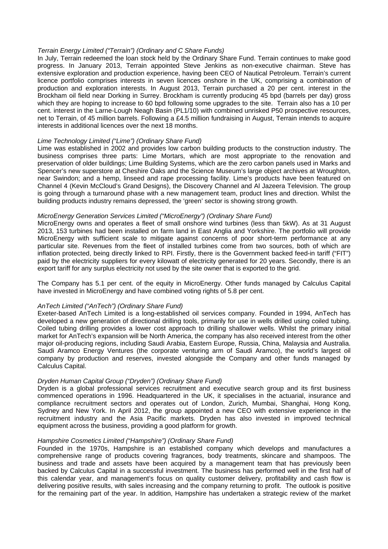### *Terrain Energy Limited ("Terrain") (Ordinary and C Share Funds)*

In July, Terrain redeemed the loan stock held by the Ordinary Share Fund. Terrain continues to make good progress. In January 2013, Terrain appointed Steve Jenkins as non-executive chairman. Steve has extensive exploration and production experience, having been CEO of Nautical Petroleum. Terrain's current licence portfolio comprises interests in seven licences onshore in the UK, comprising a combination of production and exploration interests. In August 2013, Terrain purchased a 20 per cent. interest in the Brockham oil field near Dorking in Surrey. Brockham is currently producing 45 bpd (barrels per day) gross which they are hoping to increase to 60 bpd following some upgrades to the site. Terrain also has a 10 per cent. interest in the Larne-Lough Neagh Basin (PL1/10) with combined unrisked P50 prospective resources, net to Terrain, of 45 million barrels. Following a £4.5 million fundraising in August, Terrain intends to acquire interests in additional licences over the next 18 months.

### *Lime Technology Limited ("Lime") (Ordinary Share Fund)*

Lime was established in 2002 and provides low carbon building products to the construction industry. The business comprises three parts: Lime Mortars, which are most appropriate to the renovation and preservation of older buildings; Lime Building Systems, which are the zero carbon panels used in Marks and Spencer's new superstore at Cheshire Oaks and the Science Museum's large object archives at Wroughton, near Swindon; and a hemp, linseed and rape processing facility. Lime's products have been featured on Channel 4 (Kevin McCloud's Grand Designs), the Discovery Channel and Al Jazeera Television. The group is going through a turnaround phase with a new management team, product lines and direction. Whilst the building products industry remains depressed, the 'green' sector is showing strong growth.

### *MicroEnergy Generation Services Limited ("MicroEnergy") (Ordinary Share Fund)*

MicroEnergy owns and operates a fleet of small onshore wind turbines (less than 5kW). As at 31 August 2013, 153 turbines had been installed on farm land in East Anglia and Yorkshire. The portfolio will provide MicroEnergy with sufficient scale to mitigate against concerns of poor short-term performance at any particular site. Revenues from the fleet of installed turbines come from two sources, both of which are inflation protected, being directly linked to RPI. Firstly, there is the Government backed feed-in tariff ("FIT") paid by the electricity suppliers for every kilowatt of electricity generated for 20 years. Secondly, there is an export tariff for any surplus electricity not used by the site owner that is exported to the grid.

The Company has 5.1 per cent. of the equity in MicroEnergy. Other funds managed by Calculus Capital have invested in MicroEnergy and have combined voting rights of 5.8 per cent.

### *AnTech Limited ("AnTech") (Ordinary Share Fund)*

Exeter-based AnTech Limited is a long-established oil services company. Founded in 1994, AnTech has developed a new generation of directional drilling tools, primarily for use in wells drilled using coiled tubing. Coiled tubing drilling provides a lower cost approach to drilling shallower wells. Whilst the primary initial market for AnTech's expansion will be North America, the company has also received interest from the other major oil-producing regions, including Saudi Arabia, Eastern Europe, Russia, China, Malaysia and Australia. Saudi Aramco Energy Ventures (the corporate venturing arm of Saudi Aramco), the world's largest oil company by production and reserves, invested alongside the Company and other funds managed by Calculus Capital.

### *Dryden Human Capital Group ("Dryden") (Ordinary Share Fund)*

Dryden is a global professional services recruitment and executive search group and its first business commenced operations in 1996. Headquartered in the UK, it specialises in the actuarial, insurance and compliance recruitment sectors and operates out of London, Zurich, Mumbai, Shanghai, Hong Kong, Sydney and New York. In April 2012, the group appointed a new CEO with extensive experience in the recruitment industry and the Asia Pacific markets. Dryden has also invested in improved technical equipment across the business, providing a good platform for growth.

#### *Hampshire Cosmetics Limited ("Hampshire") (Ordinary Share Fund)*

Founded in the 1970s, Hampshire is an established company which develops and manufactures a comprehensive range of products covering fragrances, body treatments, skincare and shampoos. The business and trade and assets have been acquired by a management team that has previously been backed by Calculus Capital in a successful investment. The business has performed well in the first half of this calendar year, and management's focus on quality customer delivery, profitability and cash flow is delivering positive results, with sales increasing and the company returning to profit. The outlook is positive for the remaining part of the year. In addition, Hampshire has undertaken a strategic review of the market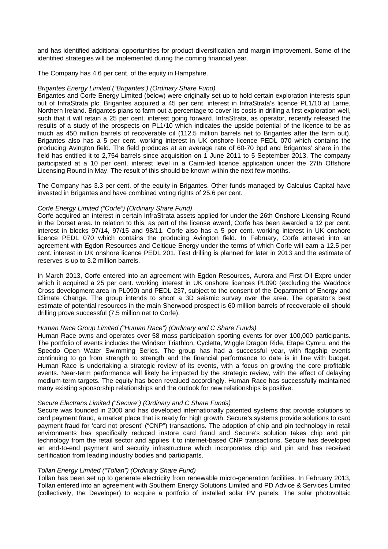and has identified additional opportunities for product diversification and margin improvement. Some of the identified strategies will be implemented during the coming financial year.

The Company has 4.6 per cent. of the equity in Hampshire.

### *Brigantes Energy Limited ("Brigantes") (Ordinary Share Fund)*

Brigantes and Corfe Energy Limited (below) were originally set up to hold certain exploration interests spun out of InfraStrata plc. Brigantes acquired a 45 per cent. interest in InfraStrata's licence PL1/10 at Larne, Northern Ireland. Brigantes plans to farm out a percentage to cover its costs in drilling a first exploration well, such that it will retain a 25 per cent. interest going forward. InfraStrata, as operator, recently released the results of a study of the prospects on PL1/10 which indicates the upside potential of the licence to be as much as 450 million barrels of recoverable oil (112.5 million barrels net to Brigantes after the farm out). Brigantes also has a 5 per cent. working interest in UK onshore licence PEDL 070 which contains the producing Avington field. The field produces at an average rate of 60-70 bpd and Brigantes' share in the field has entitled it to 2,754 barrels since acquisition on 1 June 2011 to 5 September 2013. The company participated at a 10 per cent. interest level in a Cairn-led licence application under the 27th Offshore Licensing Round in May. The result of this should be known within the next few months.

The Company has 3.3 per cent. of the equity in Brigantes. Other funds managed by Calculus Capital have invested in Brigantes and have combined voting rights of 25.6 per cent.

### *Corfe Energy Limited ("Corfe") (Ordinary Share Fund)*

Corfe acquired an interest in certain InfraStrata assets applied for under the 26th Onshore Licensing Round in the Dorset area. In relation to this, as part of the license award, Corfe has been awarded a 12 per cent. interest in blocks 97/14, 97/15 and 98/11. Corfe also has a 5 per cent. working interest in UK onshore licence PEDL 070 which contains the producing Avington field. In February, Corfe entered into an agreement with Egdon Resources and Celtique Energy under the terms of which Corfe will earn a 12.5 per cent. interest in UK onshore licence PEDL 201. Test drilling is planned for later in 2013 and the estimate of reserves is up to 3.2 million barrels.

In March 2013, Corfe entered into an agreement with Egdon Resources, Aurora and First Oil Expro under which it acquired a 25 per cent. working interest in UK onshore licences PL090 (excluding the Waddock Cross development area in PL090) and PEDL 237, subject to the consent of the Department of Energy and Climate Change. The group intends to shoot a 3D seismic survey over the area. The operator's best estimate of potential resources in the main Sherwood prospect is 60 million barrels of recoverable oil should drilling prove successful (7.5 million net to Corfe).

### *Human Race Group Limited ("Human Race") (Ordinary and C Share Funds)*

Human Race owns and operates over 58 mass participation sporting events for over 100,000 participants. The portfolio of events includes the Windsor Triathlon, Cycletta, Wiggle Dragon Ride, Etape Cymru, and the Speedo Open Water Swimming Series. The group has had a successful year, with flagship events continuing to go from strength to strength and the financial performance to date is in line with budget. Human Race is undertaking a strategic review of its events, with a focus on growing the core profitable events. Near-term performance will likely be impacted by the strategic review, with the effect of delaying medium-term targets. The equity has been revalued accordingly. Human Race has successfully maintained many existing sponsorship relationships and the outlook for new relationships is positive.

### *Secure Electrans Limited ("Secure") (Ordinary and C Share Funds)*

Secure was founded in 2000 and has developed internationally patented systems that provide solutions to card payment fraud, a market place that is ready for high growth. Secure's systems provide solutions to card payment fraud for 'card not present' ("CNP") transactions. The adoption of chip and pin technology in retail environments has specifically reduced instore card fraud and Secure's solution takes chip and pin technology from the retail sector and applies it to internet-based CNP transactions. Secure has developed an end-to-end payment and security infrastructure which incorporates chip and pin and has received certification from leading industry bodies and participants.

### *Tollan Energy Limited ("Tollan") (Ordinary Share Fund)*

Tollan has been set up to generate electricity from renewable micro-generation facilities. In February 2013, Tollan entered into an agreement with Southern Energy Solutions Limited and PD Advice & Services Limited (collectively, the Developer) to acquire a portfolio of installed solar PV panels. The solar photovoltaic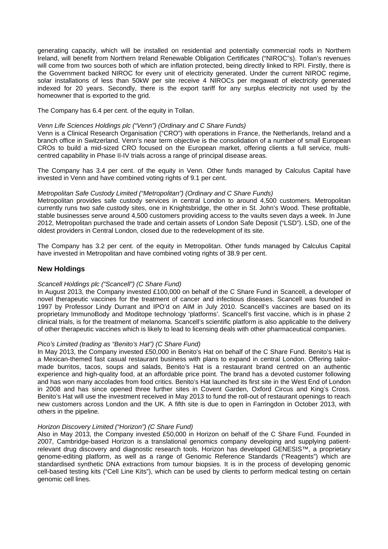generating capacity, which will be installed on residential and potentially commercial roofs in Northern Ireland, will benefit from Northern Ireland Renewable Obligation Certificates ("NIROC"s). Tollan's revenues will come from two sources both of which are inflation protected, being directly linked to RPI. Firstly, there is the Government backed NIROC for every unit of electricity generated. Under the current NIROC regime, solar installations of less than 50kW per site receive 4 NIROCs per megawatt of electricity generated indexed for 20 years. Secondly, there is the export tariff for any surplus electricity not used by the homeowner that is exported to the grid.

The Company has 6.4 per cent. of the equity in Tollan.

### *Venn Life Sciences Holdings plc ("Venn") (Ordinary and C Share Funds)*

Venn is a Clinical Research Organisation ("CRO") with operations in France, the Netherlands, Ireland and a branch office in Switzerland. Venn's near term objective is the consolidation of a number of small European CROs to build a mid-sized CRO focused on the European market, offering clients a full service, multicentred capability in Phase II-IV trials across a range of principal disease areas.

The Company has 3.4 per cent. of the equity in Venn. Other funds managed by Calculus Capital have invested in Venn and have combined voting rights of 9.1 per cent.

### *Metropolitan Safe Custody Limited ("Metropolitan") (Ordinary and C Share Funds)*

Metropolitan provides safe custody services in central London to around 4,500 customers. Metropolitan currently runs two safe custody sites, one in Knightsbridge, the other in St. John's Wood. These profitable, stable businesses serve around 4,500 customers providing access to the vaults seven days a week. In June 2012, Metropolitan purchased the trade and certain assets of London Safe Deposit ("LSD"). LSD, one of the oldest providers in Central London, closed due to the redevelopment of its site.

The Company has 3.2 per cent. of the equity in Metropolitan. Other funds managed by Calculus Capital have invested in Metropolitan and have combined voting rights of 38.9 per cent.

# **New Holdings**

# *Scancell Holdings plc ("Scancell") (C Share Fund)*

In August 2013, the Company invested £100,000 on behalf of the C Share Fund in Scancell, a developer of novel therapeutic vaccines for the treatment of cancer and infectious diseases. Scancell was founded in 1997 by Professor Lindy Durrant and IPO'd on AIM in July 2010. Scancell's vaccines are based on its proprietary ImmunoBody and Moditope technology 'platforms'. Scancell's first vaccine, which is in phase 2 clinical trials, is for the treatment of melanoma. Scancell's scientific platform is also applicable to the delivery of other therapeutic vaccines which is likely to lead to licensing deals with other pharmaceutical companies.

# *Pico's Limited (trading as "Benito's Hat") (C Share Fund)*

In May 2013, the Company invested £50,000 in Benito's Hat on behalf of the C Share Fund. Benito's Hat is a Mexican-themed fast casual restaurant business with plans to expand in central London. Offering tailormade burritos, tacos, soups and salads, Benito's Hat is a restaurant brand centred on an authentic experience and high-quality food, at an affordable price point. The brand has a devoted customer following and has won many accolades from food critics. Benito's Hat launched its first site in the West End of London in 2008 and has since opened three further sites in Covent Garden, Oxford Circus and King's Cross. Benito's Hat will use the investment received in May 2013 to fund the roll-out of restaurant openings to reach new customers across London and the UK. A fifth site is due to open in Farringdon in October 2013, with others in the pipeline.

### *Horizon Discovery Limited ("Horizon") (C Share Fund)*

Also in May 2013, the Company invested £50,000 in Horizon on behalf of the C Share Fund. Founded in 2007, Cambridge-based Horizon is a translational genomics company developing and supplying patientrelevant drug discovery and diagnostic research tools. Horizon has developed GENESIS™, a proprietary genome-editing platform, as well as a range of Genomic Reference Standards ("Reagents") which are standardised synthetic DNA extractions from tumour biopsies. It is in the process of developing genomic cell-based testing kits ("Cell Line Kits"), which can be used by clients to perform medical testing on certain genomic cell lines.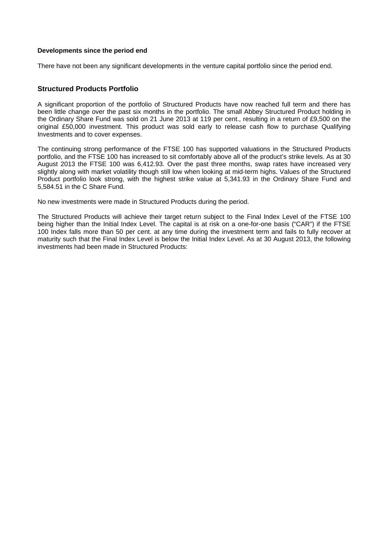### **Developments since the period end**

There have not been any significant developments in the venture capital portfolio since the period end.

# **Structured Products Portfolio**

A significant proportion of the portfolio of Structured Products have now reached full term and there has been little change over the past six months in the portfolio. The small Abbey Structured Product holding in the Ordinary Share Fund was sold on 21 June 2013 at 119 per cent., resulting in a return of £9,500 on the original £50,000 investment. This product was sold early to release cash flow to purchase Qualifying Investments and to cover expenses.

The continuing strong performance of the FTSE 100 has supported valuations in the Structured Products portfolio, and the FTSE 100 has increased to sit comfortably above all of the product's strike levels. As at 30 August 2013 the FTSE 100 was 6,412.93. Over the past three months, swap rates have increased very slightly along with market volatility though still low when looking at mid-term highs. Values of the Structured Product portfolio look strong, with the highest strike value at 5,341.93 in the Ordinary Share Fund and 5,584.51 in the C Share Fund.

No new investments were made in Structured Products during the period.

The Structured Products will achieve their target return subject to the Final Index Level of the FTSE 100 being higher than the Initial Index Level. The capital is at risk on a one-for-one basis ("CAR") if the FTSE 100 Index falls more than 50 per cent. at any time during the investment term and fails to fully recover at maturity such that the Final Index Level is below the Initial Index Level. As at 30 August 2013, the following investments had been made in Structured Products: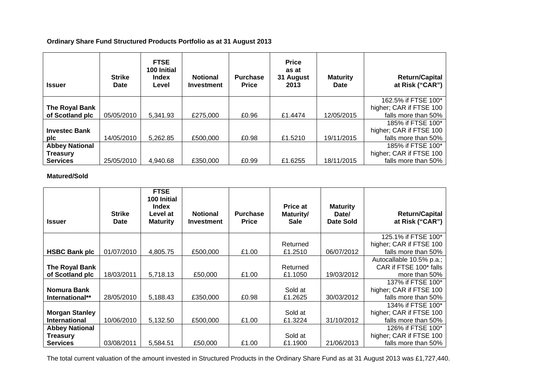**Ordinary Share Fund Structured Products Portfolio as at 31 August 2013** 

| <b>Issuer</b>         | <b>Strike</b><br><b>Date</b> | <b>FTSE</b><br>100 Initial<br><b>Index</b><br>Level | <b>Notional</b><br><b>Investment</b> | <b>Purchase</b><br><b>Price</b> | <b>Price</b><br>as at<br>31 August<br>2013 | <b>Maturity</b><br><b>Date</b> | <b>Return/Capital</b><br>at Risk ("CAR") |
|-----------------------|------------------------------|-----------------------------------------------------|--------------------------------------|---------------------------------|--------------------------------------------|--------------------------------|------------------------------------------|
|                       |                              |                                                     |                                      |                                 |                                            |                                | 162.5% if FTSE 100*                      |
| The Royal Bank        |                              |                                                     |                                      |                                 |                                            |                                | higher; CAR if FTSE 100                  |
| of Scotland plc       | 05/05/2010                   | 5,341.93                                            | £275,000                             | £0.96                           | £1.4474                                    | 12/05/2015                     | falls more than 50%                      |
|                       |                              |                                                     |                                      |                                 |                                            |                                | 185% if FTSE 100*                        |
| <b>Investec Bank</b>  |                              |                                                     |                                      |                                 |                                            |                                | higher; CAR if FTSE 100                  |
| plc                   | 14/05/2010                   | 5,262.85                                            | £500,000                             | £0.98                           | £1.5210                                    | 19/11/2015                     | falls more than 50%                      |
| <b>Abbey National</b> |                              |                                                     |                                      |                                 |                                            |                                | 185% if FTSE 100*                        |
| <b>Treasury</b>       |                              |                                                     |                                      |                                 |                                            |                                | higher; CAR if FTSE 100                  |
| <b>Services</b>       | 25/05/2010                   | 4.940.68                                            | £350,000                             | £0.99                           | £1.6255                                    | 18/11/2015                     | falls more than 50%                      |

**Matured/Sold** 

| <b>Issuer</b>         | <b>Strike</b><br><b>Date</b> | <b>FTSE</b><br>100 Initial<br><b>Index</b><br>Level at<br><b>Maturity</b> | <b>Notional</b><br><b>Investment</b> | <b>Purchase</b><br><b>Price</b> | Price at<br>Maturity/<br><b>Sale</b> | <b>Maturity</b><br>Date/<br>Date Sold | <b>Return/Capital</b><br>at Risk ("CAR") |
|-----------------------|------------------------------|---------------------------------------------------------------------------|--------------------------------------|---------------------------------|--------------------------------------|---------------------------------------|------------------------------------------|
|                       |                              |                                                                           |                                      |                                 |                                      |                                       | 125.1% if FTSE 100*                      |
|                       |                              |                                                                           |                                      |                                 | Returned                             |                                       | higher; CAR if FTSE 100                  |
| <b>HSBC Bank plc</b>  | 01/07/2010                   | 4,805.75                                                                  | £500,000                             | £1.00                           | £1.2510                              | 06/07/2012                            | falls more than 50%                      |
|                       |                              |                                                                           |                                      |                                 |                                      |                                       | Autocallable 10.5% p.a.;                 |
| The Royal Bank        |                              |                                                                           |                                      |                                 | Returned                             |                                       | CAR if FTSE 100* falls                   |
| of Scotland plc       | 18/03/2011                   | 5,718.13                                                                  | £50,000                              | £1.00                           | £1.1050                              | 19/03/2012                            | more than 50%                            |
|                       |                              |                                                                           |                                      |                                 |                                      |                                       | 137% if FTSE 100*                        |
| Nomura Bank           |                              |                                                                           |                                      |                                 | Sold at                              |                                       | higher; CAR if FTSE 100                  |
| International**       | 28/05/2010                   | 5,188.43                                                                  | £350,000                             | £0.98                           | £1.2625                              | 30/03/2012                            | falls more than 50%                      |
|                       |                              |                                                                           |                                      |                                 |                                      |                                       | 134% if FTSE 100*                        |
| <b>Morgan Stanley</b> |                              |                                                                           |                                      |                                 | Sold at                              |                                       | higher; CAR if FTSE 100                  |
| <b>International</b>  | 10/06/2010                   | 5,132.50                                                                  | £500,000                             | £1.00                           | £1.3224                              | 31/10/2012                            | falls more than 50%                      |
| <b>Abbey National</b> |                              |                                                                           |                                      |                                 |                                      |                                       | 126% if FTSE 100*                        |
| <b>Treasury</b>       |                              |                                                                           |                                      |                                 | Sold at                              |                                       | higher; CAR if FTSE 100                  |
| <b>Services</b>       | 03/08/2011                   | 5,584.51                                                                  | £50,000                              | £1.00                           | £1.1900                              | 21/06/2013                            | falls more than 50%                      |

The total current valuation of the amount invested in Structured Products in the Ordinary Share Fund as at 31 August 2013 was £1,727,440.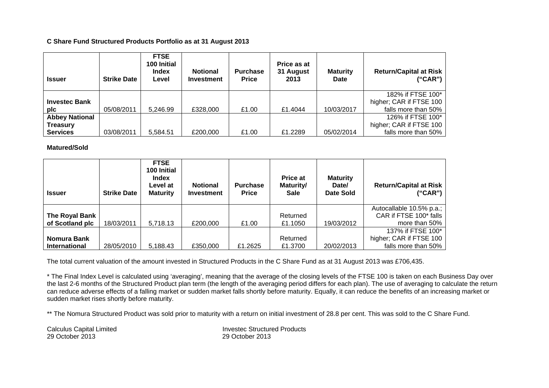### **C Share Fund Structured Products Portfolio as at 31 August 2013**

| <b>Issuer</b>         | <b>Strike Date</b> | <b>FTSE</b><br>100 Initial<br><b>Index</b><br>Level | <b>Notional</b><br><b>Investment</b> | <b>Purchase</b><br><b>Price</b> | Price as at<br>31 August<br>2013 | <b>Maturity</b><br>Date | <b>Return/Capital at Risk</b><br>("CAR") |
|-----------------------|--------------------|-----------------------------------------------------|--------------------------------------|---------------------------------|----------------------------------|-------------------------|------------------------------------------|
|                       |                    |                                                     |                                      |                                 |                                  |                         | 182% if FTSE 100*                        |
| <b>Investec Bank</b>  |                    |                                                     |                                      |                                 |                                  |                         | higher; CAR if FTSE 100                  |
| pic                   | 05/08/2011         | 5.246.99                                            | £328,000                             | £1.00                           | £1.4044                          | 10/03/2017              | falls more than 50%                      |
| <b>Abbey National</b> |                    |                                                     |                                      |                                 |                                  |                         | 126% if FTSE 100*                        |
| <b>Treasury</b>       |                    |                                                     |                                      |                                 |                                  |                         | higher; CAR if FTSE 100                  |
| <b>Services</b>       | 03/08/2011         | 5,584.51                                            | £200,000                             | £1.00                           | £1.2289                          | 05/02/2014              | falls more than 50%                      |

**Matured/Sold** 

| <b>Issuer</b>        | <b>Strike Date</b> | <b>FTSE</b><br>100 Initial<br>Index<br>Level at<br><b>Maturity</b> | <b>Notional</b><br><b>Investment</b> | <b>Purchase</b><br><b>Price</b> | <b>Price at</b><br>Maturity/<br><b>Sale</b> | <b>Maturity</b><br>Date/<br>Date Sold | <b>Return/Capital at Risk</b><br>("CAR")           |
|----------------------|--------------------|--------------------------------------------------------------------|--------------------------------------|---------------------------------|---------------------------------------------|---------------------------------------|----------------------------------------------------|
| The Royal Bank       |                    |                                                                    |                                      |                                 | Returned                                    |                                       | Autocallable 10.5% p.a.;<br>CAR if FTSE 100* falls |
| of Scotland plc      | 18/03/2011         | 5,718.13                                                           | £200,000                             | £1.00                           | £1.1050                                     | 19/03/2012                            | more than 50%                                      |
|                      |                    |                                                                    |                                      |                                 |                                             |                                       | 137% if FTSE 100*                                  |
| Nomura Bank          |                    |                                                                    |                                      |                                 | Returned                                    |                                       | higher; CAR if FTSE 100                            |
| <b>International</b> | 28/05/2010         | 5.188.43                                                           | £350,000                             | £1.2625                         | £1,3700                                     | 20/02/2013                            | falls more than 50%                                |

The total current valuation of the amount invested in Structured Products in the C Share Fund as at 31 August 2013 was £706,435.

\* The Final Index Level is calculated using 'averaging', meaning that the average of the closing levels of the FTSE 100 is taken on each Business Day over the last 2-6 months of the Structured Product plan term (the length of the averaging period differs for each plan). The use of averaging to calculate the return can reduce adverse effects of a falling market or sudden market falls shortly before maturity. Equally, it can reduce the benefits of an increasing market or sudden market rises shortly before maturity.

\*\* The Nomura Structured Product was sold prior to maturity with a return on initial investment of 28.8 per cent. This was sold to the C Share Fund.

29 October 2013 29 October 2013

Calculus Capital Limited **Invested Structured Products**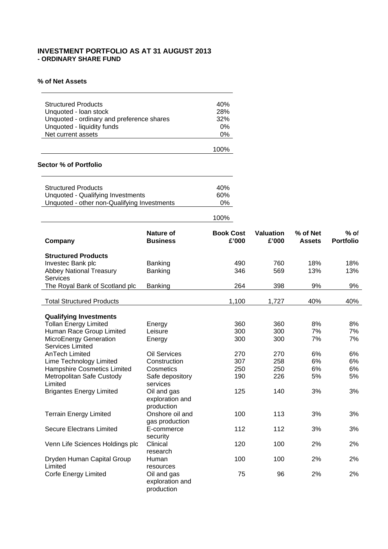# **INVESTMENT PORTFOLIO AS AT 31 AUGUST 2013 - ORDINARY SHARE FUND**

### **% of Net Assets**

| <b>Structured Products</b><br>Unquoted - Ioan stock<br>Unquoted - ordinary and preference shares<br>Unquoted - liquidity funds<br>Net current assets | 40%<br>28%<br>32%<br>$0\%$<br>0% |
|------------------------------------------------------------------------------------------------------------------------------------------------------|----------------------------------|
|                                                                                                                                                      |                                  |
|                                                                                                                                                      | 100%                             |

### **Sector % of Portfolio**

| <b>Structured Products</b>                  | 40%   |
|---------------------------------------------|-------|
| Unquoted - Qualifying Investments           | 60%   |
| Unquoted - other non-Qualifying Investments | $0\%$ |
|                                             |       |

| Company                          | Nature of<br><b>Business</b> | <b>Book Cost</b><br>£'000 | <b>Valuation</b><br>£'000 | % of Net<br><b>Assets</b> | $%$ of<br><b>Portfolio</b> |
|----------------------------------|------------------------------|---------------------------|---------------------------|---------------------------|----------------------------|
| <b>Structured Products</b>       |                              |                           |                           |                           |                            |
| Investec Bank plc                | Banking                      | 490                       | 760                       | 18%                       | 18%                        |
| <b>Abbey National Treasury</b>   | Banking                      | 346                       | 569                       | 13%                       | 13%                        |
| <b>Services</b>                  |                              |                           |                           |                           |                            |
| The Royal Bank of Scotland plc   | Banking                      | 264                       | 398                       | 9%                        | 9%                         |
| <b>Total Structured Products</b> |                              | 1,100                     | 1,727                     | 40%                       | 40%                        |
|                                  |                              |                           |                           |                           |                            |
| <b>Qualifying Investments</b>    |                              |                           |                           |                           |                            |
| <b>Tollan Energy Limited</b>     | Energy                       | 360                       | 360                       | 8%                        | 8%                         |
| Human Race Group Limited         | Leisure                      | 300                       | 300                       | 7%                        | 7%                         |
| MicroEnergy Generation           | Energy                       | 300                       | 300                       | 7%                        | 7%                         |
| <b>Services Limited</b>          |                              |                           |                           |                           |                            |
| <b>AnTech Limited</b>            | <b>Oil Services</b>          | 270                       | 270                       | 6%                        | 6%                         |
| Lime Technology Limited          | Construction                 | 307                       | 258                       | 6%                        | 6%                         |
| Hampshire Cosmetics Limited      | Cosmetics                    | 250                       | 250                       | 6%                        | 6%                         |
| Metropolitan Safe Custody        | Safe depository              | 190                       | 226                       | 5%                        | 5%                         |
| Limited                          | services                     |                           |                           |                           |                            |
| <b>Brigantes Energy Limited</b>  | Oil and gas                  | 125                       | 140                       | 3%                        | 3%                         |
|                                  | exploration and              |                           |                           |                           |                            |
|                                  | production                   |                           |                           |                           |                            |
| <b>Terrain Energy Limited</b>    | Onshore oil and              | 100                       | 113                       | 3%                        | 3%                         |
|                                  | gas production               |                           |                           |                           |                            |
| <b>Secure Electrans Limited</b>  | E-commerce                   | 112                       | 112                       | 3%                        | 3%                         |
|                                  | security                     |                           |                           |                           |                            |
| Venn Life Sciences Holdings plc  | Clinical                     | 120                       | 100                       | 2%                        | 2%                         |
|                                  | research                     |                           |                           |                           |                            |
| Dryden Human Capital Group       | Human                        | 100                       | 100                       | 2%                        | 2%                         |
| Limited                          | resources                    |                           |                           |                           |                            |
| <b>Corfe Energy Limited</b>      | Oil and gas                  | 75                        | 96                        | 2%                        | 2%                         |
|                                  | exploration and              |                           |                           |                           |                            |
|                                  | production                   |                           |                           |                           |                            |

100%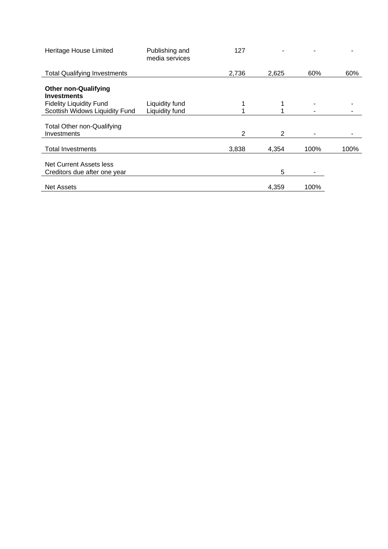| Heritage House Limited                           | Publishing and<br>media services | 127            |       |      |      |
|--------------------------------------------------|----------------------------------|----------------|-------|------|------|
| <b>Total Qualifying Investments</b>              |                                  | 2,736          | 2,625 | 60%  | 60%  |
| <b>Other non-Qualifying</b>                      |                                  |                |       |      |      |
| <b>Investments</b>                               |                                  |                |       |      |      |
| <b>Fidelity Liquidity Fund</b>                   | Liquidity fund                   |                |       |      |      |
| Scottish Widows Liquidity Fund                   | Liquidity fund                   |                |       |      |      |
| <b>Total Other non-Qualifying</b><br>Investments |                                  | $\overline{2}$ | 2     |      | ۰    |
| <b>Total Investments</b>                         |                                  | 3,838          | 4.354 | 100% | 100% |
| Net Current Assets less                          |                                  |                |       |      |      |
| Creditors due after one year                     |                                  |                | 5     |      |      |
| <b>Net Assets</b>                                |                                  |                | 4,359 | 100% |      |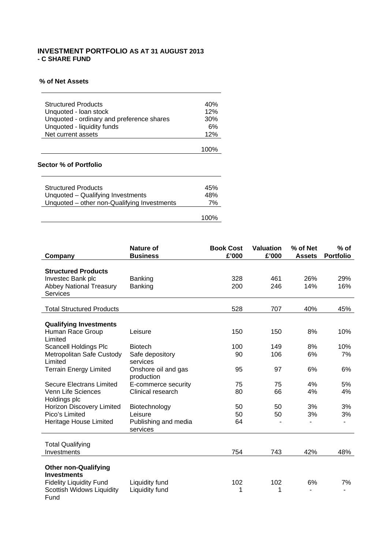# **INVESTMENT PORTFOLIO AS AT 31 AUGUST 2013 - C SHARE FUND**

### **% of Net Assets**

| <b>Structured Products</b>                | 40% |
|-------------------------------------------|-----|
| Unquoted - Ioan stock                     | 12% |
| Unquoted - ordinary and preference shares | 30% |
| Unquoted - liquidity funds                | 6%  |
| Net current assets                        | 12% |
|                                           |     |

### **Sector % of Portfolio**

| <b>Structured Products</b>                  | 45% |
|---------------------------------------------|-----|
| Unquoted – Qualifying Investments           | 48% |
| Unquoted – other non-Qualifying Investments | 7%  |
|                                             |     |

100%

| Company                                           | Nature of<br><b>Business</b> | <b>Book Cost</b><br>£'000 | <b>Valuation</b><br>£'000 | % of Net<br><b>Assets</b> | $%$ of<br><b>Portfolio</b> |
|---------------------------------------------------|------------------------------|---------------------------|---------------------------|---------------------------|----------------------------|
|                                                   |                              |                           |                           |                           |                            |
| <b>Structured Products</b>                        |                              |                           |                           |                           |                            |
| Investec Bank plc                                 | Banking                      | 328                       | 461                       | 26%                       | 29%                        |
| <b>Abbey National Treasury</b><br><b>Services</b> | Banking                      | 200                       | 246                       | 14%                       | 16%                        |
|                                                   |                              |                           |                           |                           |                            |
| <b>Total Structured Products</b>                  |                              | 528                       | 707                       | 40%                       | 45%                        |
| <b>Qualifying Investments</b>                     |                              |                           |                           |                           |                            |
| Human Race Group                                  | Leisure                      | 150                       | 150                       | 8%                        | 10%                        |
| Limited                                           |                              |                           |                           |                           |                            |
| <b>Scancell Holdings Plc</b>                      | <b>Biotech</b>               | 100                       | 149                       | 8%                        | 10%                        |
| Metropolitan Safe Custody                         | Safe depository              | 90                        | 106                       | 6%                        | 7%                         |
| Limited                                           | services                     |                           |                           |                           |                            |
| <b>Terrain Energy Limited</b>                     | Onshore oil and gas          | 95                        | 97                        | 6%                        | 6%                         |
|                                                   | production                   |                           |                           |                           |                            |
| <b>Secure Electrans Limited</b>                   | E-commerce security          | 75                        | 75                        | 4%                        | 5%                         |
| Venn Life Sciences                                | Clinical research            | 80                        | 66                        | 4%                        | 4%                         |
| Holdings plc<br>Horizon Discovery Limited         | Biotechnology                | 50                        | 50                        | 3%                        | 3%                         |
| Pico's Limited                                    | Leisure                      | 50                        | 50                        | 3%                        | 3%                         |
| Heritage House Limited                            | Publishing and media         | 64                        |                           | ۰                         | $\blacksquare$             |
|                                                   | services                     |                           |                           |                           |                            |
|                                                   |                              |                           |                           |                           |                            |
| <b>Total Qualifying</b><br>Investments            |                              | 754                       | 743                       | 42%                       | 48%                        |
|                                                   |                              |                           |                           |                           |                            |
| <b>Other non-Qualifying</b>                       |                              |                           |                           |                           |                            |
| <b>Investments</b>                                |                              |                           |                           |                           |                            |
| <b>Fidelity Liquidity Fund</b>                    | Liquidity fund               | 102                       | 102                       | 6%                        | 7%                         |
| <b>Scottish Widows Liquidity</b>                  | Liquidity fund               | 1                         | 1                         |                           |                            |
| Fund                                              |                              |                           |                           |                           |                            |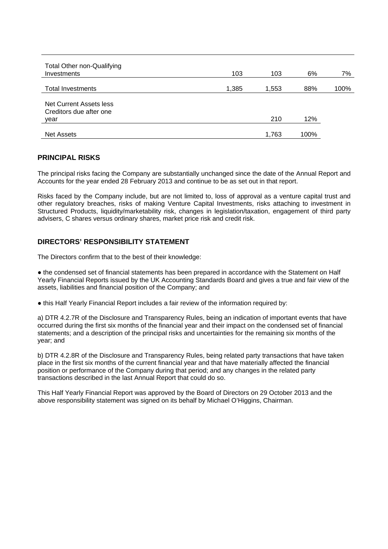| Total Other non-Qualifying<br>Investments | 103   | 103   | 6%   | 7%   |
|-------------------------------------------|-------|-------|------|------|
| <b>Total Investments</b>                  | 1,385 | 1,553 | 88%  | 100% |
| Net Current Assets less                   |       |       |      |      |
| Creditors due after one                   |       |       |      |      |
| year                                      |       | 210   | 12%  |      |
| <b>Net Assets</b>                         |       | 1,763 | 100% |      |

# **PRINCIPAL RISKS**

The principal risks facing the Company are substantially unchanged since the date of the Annual Report and Accounts for the year ended 28 February 2013 and continue to be as set out in that report.

Risks faced by the Company include, but are not limited to, loss of approval as a venture capital trust and other regulatory breaches, risks of making Venture Capital Investments, risks attaching to investment in Structured Products, liquidity/marketability risk, changes in legislation/taxation, engagement of third party advisers, C shares versus ordinary shares, market price risk and credit risk.

# **DIRECTORS' RESPONSIBILITY STATEMENT**

The Directors confirm that to the best of their knowledge:

• the condensed set of financial statements has been prepared in accordance with the Statement on Half Yearly Financial Reports issued by the UK Accounting Standards Board and gives a true and fair view of the assets, liabilities and financial position of the Company; and

● this Half Yearly Financial Report includes a fair review of the information required by:

a) DTR 4.2.7R of the Disclosure and Transparency Rules, being an indication of important events that have occurred during the first six months of the financial year and their impact on the condensed set of financial statements; and a description of the principal risks and uncertainties for the remaining six months of the year; and

b) DTR 4.2.8R of the Disclosure and Transparency Rules, being related party transactions that have taken place in the first six months of the current financial year and that have materially affected the financial position or performance of the Company during that period; and any changes in the related party transactions described in the last Annual Report that could do so.

This Half Yearly Financial Report was approved by the Board of Directors on 29 October 2013 and the above responsibility statement was signed on its behalf by Michael O'Higgins, Chairman.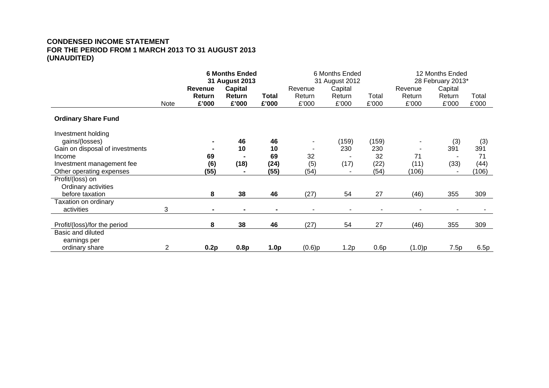# **CONDENSED INCOME STATEMENT FOR THE PERIOD FROM 1 MARCH 2013 TO 31 AUGUST 2013 (UNAUDITED)**

|                                 |      | <b>6 Months Ended</b><br>31 August 2013 |                |                  | 6 Months Ended<br>31 August 2012 |                          |       | 12 Months Ended<br>28 February 2013* |         |       |
|---------------------------------|------|-----------------------------------------|----------------|------------------|----------------------------------|--------------------------|-------|--------------------------------------|---------|-------|
|                                 |      | <b>Revenue</b>                          | <b>Capital</b> |                  | Revenue                          | Capital                  |       | Revenue                              | Capital |       |
|                                 |      | Return                                  | Return         | Total            | Return                           | Return                   | Total | Return                               | Return  | Total |
|                                 | Note | £'000                                   | £'000          | £'000            | £'000                            | £'000                    | £'000 | £'000                                | £'000   | £'000 |
| <b>Ordinary Share Fund</b>      |      |                                         |                |                  |                                  |                          |       |                                      |         |       |
| Investment holding              |      |                                         |                |                  |                                  |                          |       |                                      |         |       |
| gains/(losses)                  |      | $\blacksquare$                          | 46             | 46               | ٠.                               | (159)                    | (159) |                                      | (3)     | (3)   |
| Gain on disposal of investments |      |                                         | 10             | 10               | ٠                                | 230                      | 230   | $\overline{\phantom{a}}$             | 391     | 391   |
| Income                          |      | 69                                      |                | 69               | 32                               |                          | 32    | 71                                   |         | 71    |
| Investment management fee       |      | (6)                                     | (18)           | (24)             | (5)                              | (17)                     | (22)  | (11)                                 | (33)    | (44)  |
| Other operating expenses        |      | (55)                                    |                | (55)             | (54)                             |                          | (54)  | (106)                                |         | (106) |
| Profit/(loss) on                |      |                                         |                |                  |                                  |                          |       |                                      |         |       |
| Ordinary activities             |      |                                         |                |                  |                                  |                          |       |                                      |         |       |
| before taxation                 |      | 8                                       | 38             | 46               | (27)                             | 54                       | 27    | (46)                                 | 355     | 309   |
| Taxation on ordinary            |      |                                         |                |                  |                                  |                          |       |                                      |         |       |
| activities                      | 3    | $\blacksquare$                          |                |                  | ٠                                | $\overline{\phantom{a}}$ |       | $\overline{\phantom{a}}$             |         |       |
|                                 |      |                                         |                |                  |                                  |                          |       |                                      |         |       |
| Profit/(loss)/for the period    |      | 8                                       | 38             | 46               | (27)                             | 54                       | 27    | (46)                                 | 355     | 309   |
| Basic and diluted               |      |                                         |                |                  |                                  |                          |       |                                      |         |       |
| earnings per                    |      |                                         |                |                  |                                  |                          |       |                                      |         |       |
| ordinary share                  | 2    | 0.2p                                    | 0.8p           | 1.0 <sub>p</sub> | $(0.6)$ p                        | 1.2p                     | 0.6p  | (1.0)p                               | 7.5p    | 6.5p  |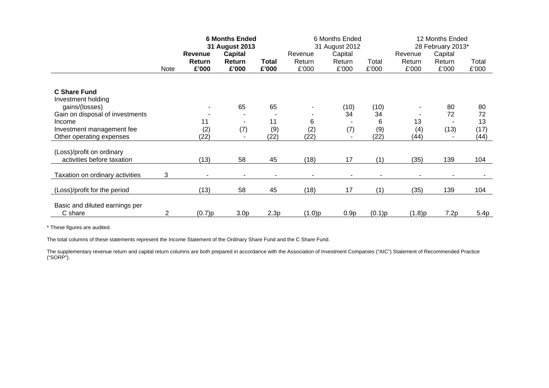|                                 |                | <b>6 Months Ended</b><br>31 August 2013 |                  |       | 6 Months Ended<br>31 August 2012 |         |        | 12 Months Ended<br>28 February 2013* |         |       |
|---------------------------------|----------------|-----------------------------------------|------------------|-------|----------------------------------|---------|--------|--------------------------------------|---------|-------|
|                                 |                | Revenue                                 | Capital          |       | Revenue                          | Capital |        | Revenue                              | Capital |       |
|                                 |                | Return                                  | Return           | Total | Return                           | Return  | Total  | Return                               | Return  | Total |
|                                 | Note           | £'000                                   | £'000            | £'000 | £'000                            | £'000   | £'000  | £'000                                | £'000   | £'000 |
|                                 |                |                                         |                  |       |                                  |         |        |                                      |         |       |
| <b>C</b> Share Fund             |                |                                         |                  |       |                                  |         |        |                                      |         |       |
| Investment holding              |                |                                         |                  |       |                                  |         |        |                                      |         |       |
| gains/(losses)                  |                |                                         | 65               | 65    |                                  | (10)    | (10)   | -                                    | 80      | 80    |
| Gain on disposal of investments |                |                                         |                  |       |                                  | 34      | 34     | ٠                                    | 72      | 72    |
| Income                          |                | 11                                      |                  | 11    | 6                                |         | 6      | 13                                   |         | 13    |
| Investment management fee       |                | (2)                                     | (7)              | (9)   | (2)                              | (7)     | (9)    | (4)                                  | (13)    | (17)  |
| Other operating expenses        |                | (22)                                    |                  | (22)  | (22)                             |         | (22)   | (44)                                 |         | (44)  |
| (Loss)/profit on ordinary       |                |                                         |                  |       |                                  |         |        |                                      |         |       |
| activities before taxation      |                | (13)                                    | 58               | 45    | (18)                             | 17      | (1)    | (35)                                 | 139     | 104   |
|                                 |                |                                         |                  |       |                                  |         |        |                                      |         |       |
| Taxation on ordinary activities | 3              |                                         |                  |       |                                  |         |        |                                      |         |       |
| (Loss)/profit for the period    |                | (13)                                    | 58               | 45    | (18)                             | 17      | (1)    | (35)                                 | 139     | 104   |
|                                 |                |                                         |                  |       |                                  |         |        |                                      |         |       |
| Basic and diluted earnings per  |                |                                         |                  |       |                                  |         |        |                                      |         |       |
| C share                         | $\overline{2}$ | (0.7)p                                  | 3.0 <sub>p</sub> | 2.3p  | (1.0)p                           | 0.9p    | (0.1)p | (1.8)p                               | 7.2p    | 5.4p  |

The total columns of these statements represent the Income Statement of the Ordinary Share Fund and the C Share Fund.

The supplementary revenue return and capital return columns are both prepared in accordance with the Association of Investment Companies ("AIC") Statement of Recommended Practice ("SORP").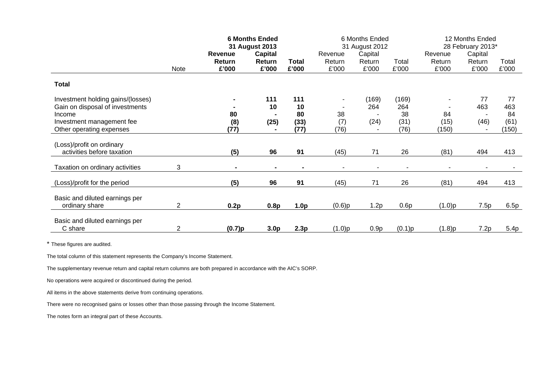|                                   |                | <b>6 Months Ended</b>           |                  |                       | 6 Months Ended           |                 |                | 12 Months Ended   |                 |                |
|-----------------------------------|----------------|---------------------------------|------------------|-----------------------|--------------------------|-----------------|----------------|-------------------|-----------------|----------------|
|                                   |                |                                 | 31 August 2013   |                       | 31 August 2012           |                 |                | 28 February 2013* |                 |                |
|                                   |                | <b>Revenue</b><br><b>Return</b> | Capital          |                       | Revenue<br>Return        | Capital         |                | Revenue           | Capital         |                |
|                                   | Note           | £'000                           | Return<br>£'000  | <b>Total</b><br>£'000 | £'000                    | Return<br>£'000 | Total<br>£'000 | Return<br>£'000   | Return<br>£'000 | Total<br>£'000 |
|                                   |                |                                 |                  |                       |                          |                 |                |                   |                 |                |
| <b>Total</b>                      |                |                                 |                  |                       |                          |                 |                |                   |                 |                |
| Investment holding gains/(losses) |                |                                 | 111              | 111                   | $\overline{\phantom{a}}$ | (169)           | (169)          |                   | 77              | 77             |
| Gain on disposal of investments   |                |                                 | 10               | 10                    |                          | 264             | 264            |                   | 463             | 463            |
| Income                            |                | 80                              |                  | 80                    | 38                       |                 | 38             | 84                |                 | 84             |
| Investment management fee         |                | (8)                             | (25)             | (33)                  | (7)                      | (24)            | (31)           | (15)              | (46)            | (61)           |
| Other operating expenses          |                | (77)                            |                  | (77)                  | (76)                     |                 | (76)           | (150)             |                 | (150)          |
| (Loss)/profit on ordinary         |                |                                 |                  |                       |                          |                 |                |                   |                 |                |
| activities before taxation        |                | (5)                             | 96               | 91                    | (45)                     | 71              | 26             | (81)              | 494             | 413            |
| Taxation on ordinary activities   | 3              |                                 |                  |                       |                          |                 |                |                   |                 |                |
|                                   |                |                                 |                  |                       |                          |                 |                |                   |                 |                |
| (Loss)/profit for the period      |                | (5)                             | 96               | 91                    | (45)                     | 71              | 26             | (81)              | 494             | 413            |
| Basic and diluted earnings per    |                |                                 |                  |                       |                          |                 |                |                   |                 |                |
| ordinary share                    | $\overline{2}$ | 0.2p                            | 0.8p             | 1.0 <sub>p</sub>      | (0.6)p                   | 1.2p            | 0.6p           | (1.0)p            | 7.5p            | 6.5p           |
|                                   |                |                                 |                  |                       |                          |                 |                |                   |                 |                |
| Basic and diluted earnings per    |                |                                 |                  |                       |                          |                 |                |                   |                 |                |
| C share                           | $\overline{c}$ | (0.7)p                          | 3.0 <sub>p</sub> | 2.3p                  | (1.0)p                   | 0.9p            | (0.1)p         | (1.8)p            | 7.2p            | 5.4p           |

The total column of this statement represents the Company's Income Statement.

The supplementary revenue return and capital return columns are both prepared in accordance with the AIC's SORP.

No operations were acquired or discontinued during the period.

All items in the above statements derive from continuing operations.

There were no recognised gains or losses other than those passing through the Income Statement.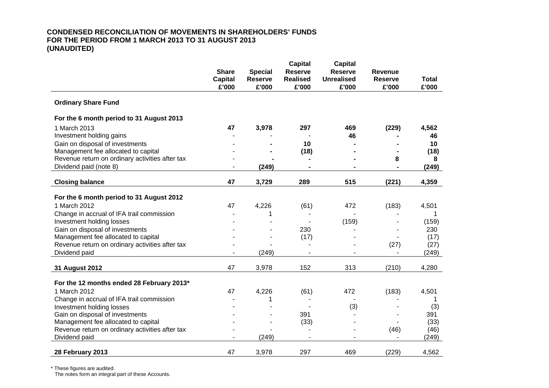# **CONDENSED RECONCILIATION OF MOVEMENTS IN SHAREHOLDERS' FUNDS FOR THE PERIOD FROM 1 MARCH 2013 TO 31 AUGUST 2013 (UNAUDITED)**

|                                                 |                                |                                  | <b>Capital</b>                    | <b>Capital</b>                      |                                  |              |
|-------------------------------------------------|--------------------------------|----------------------------------|-----------------------------------|-------------------------------------|----------------------------------|--------------|
|                                                 | <b>Share</b><br><b>Capital</b> | <b>Special</b><br><b>Reserve</b> | <b>Reserve</b><br><b>Realised</b> | <b>Reserve</b><br><b>Unrealised</b> | <b>Revenue</b><br><b>Reserve</b> | <b>Total</b> |
|                                                 | £'000                          | £'000                            | £'000                             | £'000                               | £'000                            | £'000        |
|                                                 |                                |                                  |                                   |                                     |                                  |              |
| <b>Ordinary Share Fund</b>                      |                                |                                  |                                   |                                     |                                  |              |
| For the 6 month period to 31 August 2013        |                                |                                  |                                   |                                     |                                  |              |
| 1 March 2013                                    | 47                             | 3,978                            | 297                               | 469                                 | (229)                            | 4,562        |
| Investment holding gains                        |                                |                                  |                                   | 46                                  |                                  | 46           |
| Gain on disposal of investments                 |                                |                                  | 10                                |                                     |                                  | 10           |
| Management fee allocated to capital             |                                |                                  | (18)                              |                                     |                                  | (18)         |
| Revenue return on ordinary activities after tax |                                |                                  |                                   |                                     | 8                                | 8            |
| Dividend paid (note 8)                          |                                | (249)                            |                                   |                                     |                                  | (249)        |
| <b>Closing balance</b>                          | 47                             | 3,729                            | 289                               | 515                                 | (221)                            | 4,359        |
|                                                 |                                |                                  |                                   |                                     |                                  |              |
| For the 6 month period to 31 August 2012        |                                |                                  |                                   |                                     |                                  |              |
| 1 March 2012                                    | 47                             | 4,226                            | (61)                              | 472                                 | (183)                            | 4,501        |
| Change in accrual of IFA trail commission       |                                |                                  |                                   |                                     |                                  | 1            |
| Investment holding losses                       |                                |                                  |                                   | (159)                               |                                  | (159)        |
| Gain on disposal of investments                 |                                |                                  | 230                               |                                     |                                  | 230          |
| Management fee allocated to capital             |                                |                                  | (17)                              |                                     |                                  | (17)         |
| Revenue return on ordinary activities after tax |                                |                                  |                                   |                                     | (27)                             | (27)         |
| Dividend paid                                   |                                | (249)                            |                                   |                                     | $\blacksquare$                   | (249)        |
| 31 August 2012                                  | 47                             | 3,978                            | 152                               | 313                                 | (210)                            | 4,280        |
|                                                 |                                |                                  |                                   |                                     |                                  |              |
| For the 12 months ended 28 February 2013*       |                                |                                  |                                   |                                     |                                  |              |
| 1 March 2012                                    | 47                             | 4,226                            | (61)                              | 472                                 | (183)                            | 4,501        |
| Change in accrual of IFA trail commission       |                                | 1                                |                                   |                                     |                                  |              |
| Investment holding losses                       |                                |                                  |                                   | (3)                                 |                                  | (3)          |
| Gain on disposal of investments                 |                                |                                  | 391                               |                                     |                                  | 391          |
| Management fee allocated to capital             |                                |                                  | (33)                              |                                     |                                  | (33)         |
| Revenue return on ordinary activities after tax |                                |                                  |                                   |                                     | (46)                             | (46)         |
| Dividend paid                                   |                                | (249)                            |                                   |                                     |                                  | (249)        |
| 28 February 2013                                | 47                             | 3,978                            | 297                               | 469                                 | (229)                            | 4,562        |

\* These figures are audited.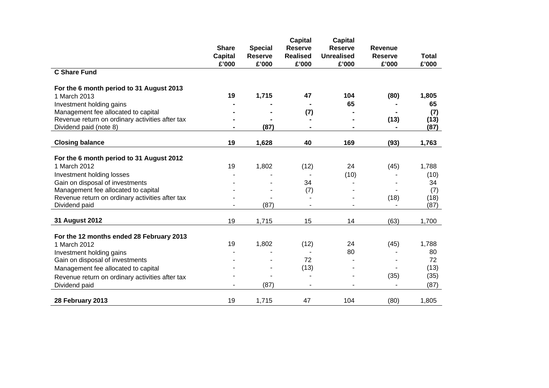|                                                 | <b>Share</b>   | <b>Special</b> | <b>Capital</b><br><b>Reserve</b> | <b>Capital</b><br><b>Reserve</b> | Revenue        |              |
|-------------------------------------------------|----------------|----------------|----------------------------------|----------------------------------|----------------|--------------|
|                                                 | <b>Capital</b> | <b>Reserve</b> | <b>Realised</b>                  | <b>Unrealised</b>                | <b>Reserve</b> | <b>Total</b> |
|                                                 | £'000          | £'000          | £'000                            | £'000                            | £'000          | £'000        |
| <b>C Share Fund</b>                             |                |                |                                  |                                  |                |              |
| For the 6 month period to 31 August 2013        |                |                |                                  |                                  |                |              |
| 1 March 2013                                    | 19             | 1,715          | 47                               | 104                              | (80)           | 1,805        |
| Investment holding gains                        |                |                |                                  | 65                               |                | 65           |
| Management fee allocated to capital             |                |                | (7)                              |                                  |                | (7)          |
| Revenue return on ordinary activities after tax |                |                |                                  |                                  | (13)           | (13)         |
| Dividend paid (note 8)                          |                | (87)           |                                  |                                  |                | (87)         |
| <b>Closing balance</b>                          | 19             | 1,628          | 40                               | 169                              | (93)           | 1,763        |
| For the 6 month period to 31 August 2012        |                |                |                                  |                                  |                |              |
| 1 March 2012                                    | 19             | 1,802          | (12)                             | 24                               | (45)           | 1,788        |
| Investment holding losses                       |                |                |                                  | (10)                             |                | (10)         |
| Gain on disposal of investments                 |                |                | 34                               |                                  |                | 34           |
| Management fee allocated to capital             |                |                | (7)                              |                                  |                | (7)          |
| Revenue return on ordinary activities after tax |                |                |                                  |                                  | (18)           | (18)         |
| Dividend paid                                   |                | (87)           |                                  |                                  |                | (87)         |
|                                                 |                |                |                                  |                                  |                |              |
| 31 August 2012                                  | 19             | 1,715          | 15                               | 14                               | (63)           | 1,700        |
| For the 12 months ended 28 February 2013        |                |                |                                  |                                  |                |              |
| 1 March 2012                                    | 19             | 1,802          | (12)                             | 24                               | (45)           | 1,788        |
| Investment holding gains                        |                |                |                                  | 80                               |                | 80           |
| Gain on disposal of investments                 |                |                | 72                               |                                  |                | 72           |
| Management fee allocated to capital             |                |                | (13)                             |                                  |                | (13)         |
| Revenue return on ordinary activities after tax |                |                |                                  |                                  | (35)           | (35)         |
| Dividend paid                                   |                | (87)           |                                  |                                  |                | (87)         |
| 28 February 2013                                | 19             | 1,715          | 47                               | 104                              | (80)           | 1,805        |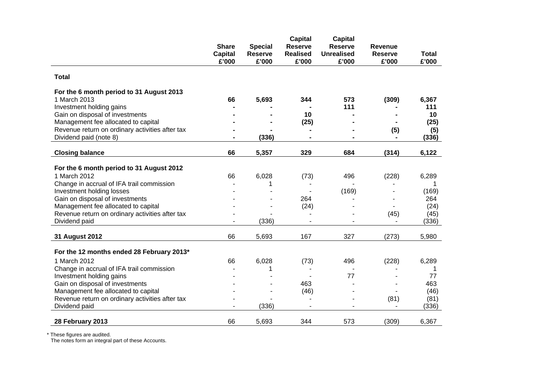|                                                              | <b>Share</b>   | <b>Special</b> | <b>Capital</b><br><b>Reserve</b> | <b>Capital</b><br><b>Reserve</b> | <b>Revenue</b> |              |
|--------------------------------------------------------------|----------------|----------------|----------------------------------|----------------------------------|----------------|--------------|
|                                                              | <b>Capital</b> | <b>Reserve</b> | <b>Realised</b>                  | <b>Unrealised</b>                | <b>Reserve</b> | <b>Total</b> |
|                                                              | £'000          | £'000          | £'000                            | £'000                            | £'000          | £'000        |
| <b>Total</b>                                                 |                |                |                                  |                                  |                |              |
| For the 6 month period to 31 August 2013                     |                |                |                                  |                                  |                |              |
| 1 March 2013                                                 | 66             | 5,693          | 344                              | 573                              | (309)          | 6,367        |
| Investment holding gains                                     |                |                |                                  | 111                              |                | 111          |
| Gain on disposal of investments                              |                |                | 10                               |                                  |                | 10           |
| Management fee allocated to capital                          |                |                | (25)                             |                                  |                | (25)         |
| Revenue return on ordinary activities after tax              |                |                |                                  |                                  | (5)            | (5)          |
| Dividend paid (note 8)                                       |                | (336)          |                                  |                                  |                | (336)        |
| <b>Closing balance</b>                                       | 66             | 5,357          | 329                              | 684                              | (314)          | 6,122        |
|                                                              |                |                |                                  |                                  |                |              |
| For the 6 month period to 31 August 2012                     |                |                |                                  |                                  |                |              |
| 1 March 2012                                                 | 66             | 6,028          | (73)                             | 496                              | (228)          | 6,289        |
| Change in accrual of IFA trail commission                    |                | 1              |                                  |                                  |                | 1            |
| Investment holding losses<br>Gain on disposal of investments |                |                | 264                              | (169)                            |                | (169)<br>264 |
| Management fee allocated to capital                          |                |                | (24)                             |                                  |                | (24)         |
| Revenue return on ordinary activities after tax              |                |                |                                  |                                  | (45)           | (45)         |
| Dividend paid                                                |                | (336)          |                                  |                                  |                | (336)        |
|                                                              |                |                |                                  |                                  |                |              |
| 31 August 2012                                               | 66             | 5,693          | 167                              | 327                              | (273)          | 5,980        |
| For the 12 months ended 28 February 2013*                    |                |                |                                  |                                  |                |              |
| 1 March 2012                                                 | 66             | 6,028          | (73)                             | 496                              | (228)          | 6,289        |
| Change in accrual of IFA trail commission                    |                | 1              |                                  |                                  |                | 1            |
| Investment holding gains                                     |                |                |                                  | 77                               |                | 77           |
| Gain on disposal of investments                              |                |                | 463                              |                                  |                | 463          |
| Management fee allocated to capital                          |                |                | (46)                             |                                  |                | (46)         |
| Revenue return on ordinary activities after tax              |                |                |                                  |                                  | (81)           | (81)         |
| Dividend paid                                                |                | (336)          |                                  |                                  | $\blacksquare$ | (336)        |
| 28 February 2013                                             | 66             | 5,693          | 344                              | 573                              | (309)          | 6,367        |
|                                                              |                |                |                                  |                                  |                |              |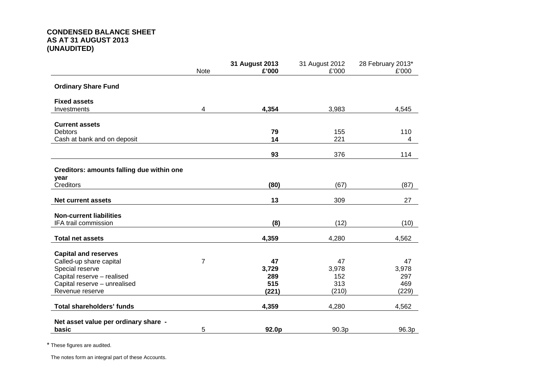# **CONDENSED BALANCE SHEET AS AT 31 AUGUST 2013 (UNAUDITED)**

|                                                        | Note           | 31 August 2013<br>£'000 | 31 August 2012<br>£'000 | 28 February 2013*<br>£'000 |
|--------------------------------------------------------|----------------|-------------------------|-------------------------|----------------------------|
|                                                        |                |                         |                         |                            |
| <b>Ordinary Share Fund</b>                             |                |                         |                         |                            |
| <b>Fixed assets</b>                                    |                |                         |                         |                            |
| Investments                                            | 4              | 4,354                   | 3,983                   | 4,545                      |
| <b>Current assets</b>                                  |                |                         |                         |                            |
| <b>Debtors</b>                                         |                | 79                      | 155                     | 110                        |
| Cash at bank and on deposit                            |                | 14                      | 221                     | 4                          |
|                                                        |                | 93                      | 376                     | 114                        |
| Creditors: amounts falling due within one              |                |                         |                         |                            |
| year                                                   |                |                         |                         |                            |
| Creditors                                              |                | (80)                    | (67)                    | (87)                       |
|                                                        |                |                         |                         |                            |
| <b>Net current assets</b>                              |                | 13                      | 309                     | 27                         |
|                                                        |                |                         |                         |                            |
| <b>Non-current liabilities</b><br>IFA trail commission |                | (8)                     | (12)                    | (10)                       |
|                                                        |                |                         |                         |                            |
| <b>Total net assets</b>                                |                | 4,359                   | 4,280                   | 4,562                      |
| <b>Capital and reserves</b>                            |                |                         |                         |                            |
| Called-up share capital                                | $\overline{7}$ | 47                      | 47                      | 47                         |
| Special reserve                                        |                | 3,729                   | 3,978                   | 3,978                      |
| Capital reserve - realised                             |                | 289                     | 152                     | 297                        |
| Capital reserve - unrealised                           |                | 515                     | 313                     | 469                        |
| Revenue reserve                                        |                | (221)                   | (210)                   | (229)                      |
| Total shareholders' funds                              |                | 4,359                   | 4,280                   | 4,562                      |
|                                                        |                |                         |                         |                            |
| Net asset value per ordinary share -<br>basic          | 5              | 92.0p                   | 90.3p                   | 96.3p                      |
|                                                        |                |                         |                         |                            |

\* These figures are audited.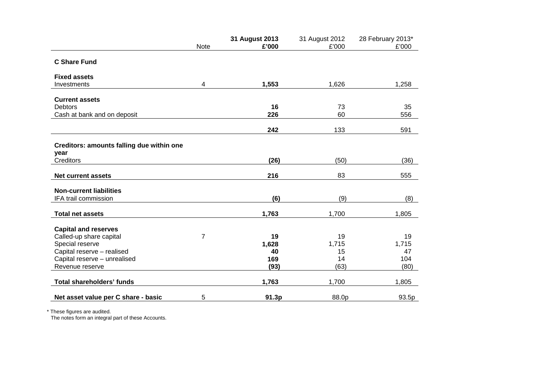|   | 31 August 2013   | 31 August 2012                                           | 28 February 2013*                                       |
|---|------------------|----------------------------------------------------------|---------------------------------------------------------|
|   |                  |                                                          | £'000                                                   |
|   |                  |                                                          |                                                         |
|   |                  |                                                          |                                                         |
| 4 | 1,553            | 1,626                                                    | 1,258                                                   |
|   |                  |                                                          |                                                         |
|   | 16               | 73                                                       | 35                                                      |
|   | 226              | 60                                                       | 556                                                     |
|   |                  |                                                          | 591                                                     |
|   |                  |                                                          |                                                         |
|   |                  |                                                          |                                                         |
|   |                  |                                                          |                                                         |
|   |                  |                                                          | (36)                                                    |
|   | 216              | 83                                                       | 555                                                     |
|   |                  |                                                          |                                                         |
|   | (6)              | (9)                                                      | (8)                                                     |
|   | 1,763            | 1,700                                                    | 1,805                                                   |
|   |                  |                                                          |                                                         |
|   |                  |                                                          |                                                         |
|   |                  |                                                          | 19                                                      |
|   |                  |                                                          | 1,715                                                   |
|   |                  |                                                          | 47                                                      |
|   |                  |                                                          | 104                                                     |
|   |                  |                                                          | (80)                                                    |
|   | 1,763            | 1,700                                                    | 1,805                                                   |
| 5 | 91.3p            | 88.0p                                                    | 93.5p                                                   |
|   | <b>Note</b><br>7 | £'000<br>242<br>(26)<br>19<br>1,628<br>40<br>169<br>(93) | £'000<br>133<br>(50)<br>19<br>1,715<br>15<br>14<br>(63) |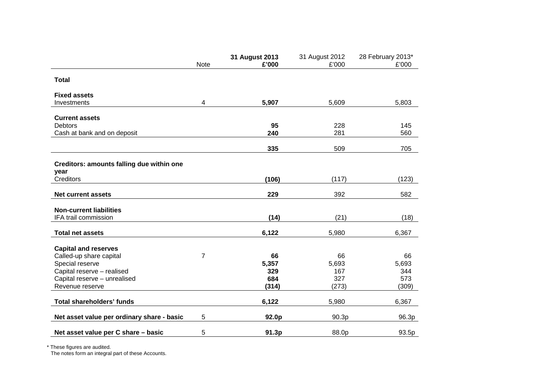|                                            | <b>Note</b> | 31 August 2013<br>£'000 | 31 August 2012<br>£'000 | 28 February 2013*<br>£'000 |
|--------------------------------------------|-------------|-------------------------|-------------------------|----------------------------|
| <b>Total</b>                               |             |                         |                         |                            |
| <b>Fixed assets</b>                        |             |                         |                         |                            |
| Investments                                | 4           | 5,907                   | 5,609                   | 5,803                      |
| <b>Current assets</b>                      |             |                         |                         |                            |
| <b>Debtors</b>                             |             | 95                      | 228                     | 145                        |
| Cash at bank and on deposit                |             | 240                     | 281                     | 560                        |
|                                            |             | 335                     | 509                     | 705                        |
| Creditors: amounts falling due within one  |             |                         |                         |                            |
| year                                       |             |                         |                         |                            |
| Creditors                                  |             | (106)                   | (117)                   | (123)                      |
| Net current assets                         |             | 229                     | 392                     | 582                        |
|                                            |             |                         |                         |                            |
| <b>Non-current liabilities</b>             |             |                         |                         |                            |
| IFA trail commission                       |             | (14)                    | (21)                    | (18)                       |
| <b>Total net assets</b>                    |             | 6,122                   | 5,980                   | 6,367                      |
| <b>Capital and reserves</b>                |             |                         |                         |                            |
| Called-up share capital                    | 7           | 66                      | 66                      | 66                         |
| Special reserve                            |             | 5,357                   | 5,693                   | 5,693                      |
| Capital reserve - realised                 |             | 329                     | 167                     | 344                        |
| Capital reserve - unrealised               |             | 684                     | 327                     | 573                        |
| Revenue reserve                            |             | (314)                   | (273)                   | (309)                      |
| <b>Total shareholders' funds</b>           |             | 6,122                   | 5,980                   | 6,367                      |
| Net asset value per ordinary share - basic | 5           | 92.0p                   | 90.3p                   | 96.3p                      |
| Net asset value per C share - basic        | 5           | 91.3p                   | 88.0p                   | 93.5p                      |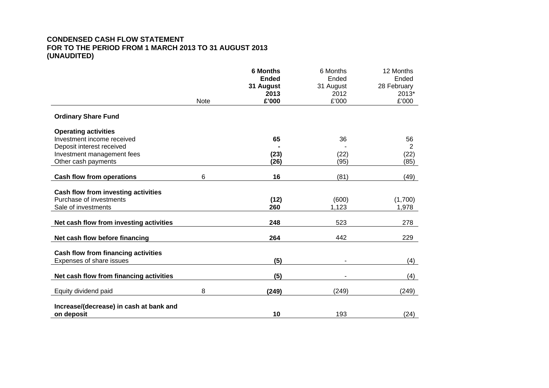# **CONDENSED CASH FLOW STATEMENT FOR TO THE PERIOD FROM 1 MARCH 2013 TO 31 AUGUST 2013 (UNAUDITED)**

|                                                                       |             | <b>6 Months</b><br><b>Ended</b><br>31 August | 6 Months<br>Ended<br>31 August | 12 Months<br>Ended<br>28 February |
|-----------------------------------------------------------------------|-------------|----------------------------------------------|--------------------------------|-----------------------------------|
|                                                                       |             | 2013                                         | 2012                           | 2013*                             |
|                                                                       | <b>Note</b> | £'000                                        | £'000                          | £'000                             |
| <b>Ordinary Share Fund</b>                                            |             |                                              |                                |                                   |
| <b>Operating activities</b>                                           |             |                                              |                                |                                   |
| Investment income received                                            |             | 65                                           | 36                             | 56                                |
| Deposit interest received                                             |             |                                              |                                | $\overline{2}$                    |
| Investment management fees                                            |             | (23)                                         | (22)                           | (22)                              |
| Other cash payments                                                   |             | (26)                                         | (95)                           | (85)                              |
| <b>Cash flow from operations</b>                                      | 6           | 16                                           | (81)                           | (49)                              |
|                                                                       |             |                                              |                                |                                   |
| <b>Cash flow from investing activities</b><br>Purchase of investments |             | (12)                                         | (600)                          | (1,700)                           |
| Sale of investments                                                   |             | 260                                          | 1,123                          | 1,978                             |
|                                                                       |             |                                              |                                |                                   |
| Net cash flow from investing activities                               |             | 248                                          | 523                            | 278                               |
| Net cash flow before financing                                        |             | 264                                          | 442                            | 229                               |
| <b>Cash flow from financing activities</b>                            |             |                                              |                                |                                   |
| Expenses of share issues                                              |             | (5)                                          |                                | (4)                               |
|                                                                       |             |                                              |                                |                                   |
| Net cash flow from financing activities                               |             | (5)                                          |                                | (4)                               |
| Equity dividend paid                                                  | 8           | (249)                                        | (249)                          | (249)                             |
| Increase/(decrease) in cash at bank and                               |             |                                              |                                |                                   |
| on deposit                                                            |             | 10                                           | 193                            | (24)                              |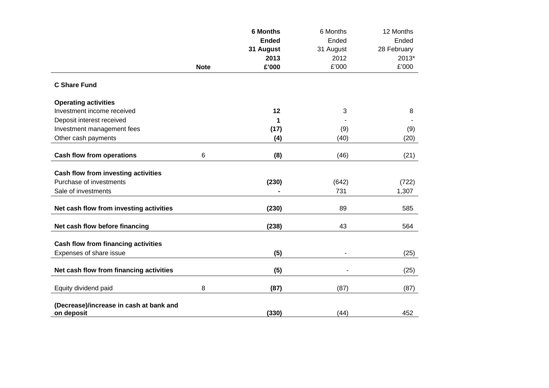|                                                       |             | <b>6 Months</b> | 6 Months      | 12 Months   |
|-------------------------------------------------------|-------------|-----------------|---------------|-------------|
|                                                       |             | <b>Ended</b>    | Ended         | Ended       |
|                                                       |             | 31 August       | 31 August     | 28 February |
|                                                       |             | 2013            | 2012          | 2013*       |
|                                                       | <b>Note</b> | £'000           | $\pounds'000$ | £'000       |
| <b>C Share Fund</b>                                   |             |                 |               |             |
| <b>Operating activities</b>                           |             |                 |               |             |
| Investment income received                            |             | 12              | 3             | 8           |
| Deposit interest received                             |             | 1               |               |             |
| Investment management fees                            |             | (17)            | (9)           | (9)         |
| Other cash payments                                   |             | (4)             | (40)          | (20)        |
| <b>Cash flow from operations</b>                      | 6           | (8)             | (46)          | (21)        |
| <b>Cash flow from investing activities</b>            |             |                 |               |             |
| Purchase of investments                               |             | (230)           | (642)         | (722)       |
| Sale of investments                                   |             |                 | 731           | 1,307       |
|                                                       |             |                 |               |             |
| Net cash flow from investing activities               |             | (230)           | 89            | 585         |
| Net cash flow before financing                        |             | (238)           | 43            | 564         |
| Cash flow from financing activities                   |             |                 |               |             |
| Expenses of share issue                               |             | (5)             |               | (25)        |
| Net cash flow from financing activities               |             | (5)             |               | (25)        |
| Equity dividend paid                                  | 8           | (87)            | (87)          | (87)        |
| (Decrease)/increase in cash at bank and<br>on deposit |             | (330)           | (44)          | 452         |
|                                                       |             |                 |               |             |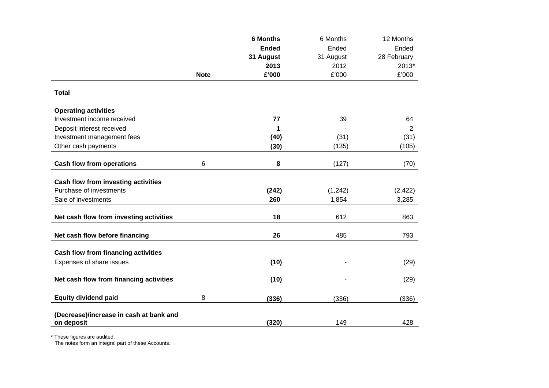|                                                                |             | <b>6 Months</b> | 6 Months       | 12 Months      |
|----------------------------------------------------------------|-------------|-----------------|----------------|----------------|
|                                                                |             | <b>Ended</b>    | Ended          | Ended          |
|                                                                |             | 31 August       | 31 August      | 28 February    |
|                                                                |             | 2013            | 2012           | 2013*          |
|                                                                | <b>Note</b> | £'000           | £'000          | £'000          |
| <b>Total</b>                                                   |             |                 |                |                |
| <b>Operating activities</b>                                    |             |                 |                |                |
| Investment income received                                     |             | 77              | 39             | 64             |
| Deposit interest received                                      |             | 1               |                | $\overline{2}$ |
| Investment management fees                                     |             | (40)            | (31)           | (31)           |
| Other cash payments                                            |             | (30)            | (135)          | (105)          |
| <b>Cash flow from operations</b>                               | 6           | 8               | (127)          | (70)           |
|                                                                |             |                 |                |                |
| Cash flow from investing activities<br>Purchase of investments |             | (242)           | (1, 242)       | (2, 422)       |
| Sale of investments                                            |             | 260             | 1,854          | 3,285          |
|                                                                |             |                 |                |                |
| Net cash flow from investing activities                        |             | 18              | 612            | 863            |
| Net cash flow before financing                                 |             | 26              | 485            | 793            |
| Cash flow from financing activities                            |             |                 |                |                |
| Expenses of share issues                                       |             | (10)            |                | (29)           |
| Net cash flow from financing activities                        |             | (10)            | $\blacksquare$ | (29)           |
| <b>Equity dividend paid</b>                                    | 8           | (336)           | (336)          | (336)          |
| (Decrease)/increase in cash at bank and<br>on deposit          |             | (320)           | 149            | 428            |
|                                                                |             |                 |                |                |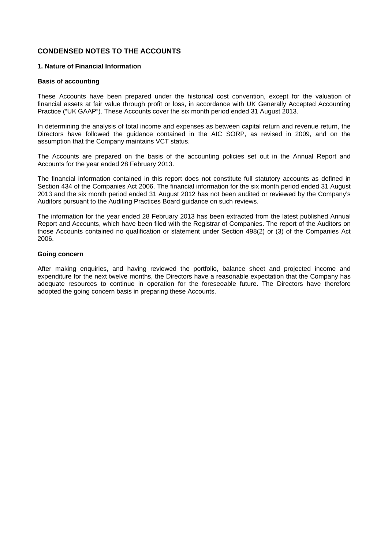# **CONDENSED NOTES TO THE ACCOUNTS**

# **1. Nature of Financial Information**

### **Basis of accounting**

These Accounts have been prepared under the historical cost convention, except for the valuation of financial assets at fair value through profit or loss, in accordance with UK Generally Accepted Accounting Practice ("UK GAAP"). These Accounts cover the six month period ended 31 August 2013.

In determining the analysis of total income and expenses as between capital return and revenue return, the Directors have followed the guidance contained in the AIC SORP, as revised in 2009, and on the assumption that the Company maintains VCT status.

The Accounts are prepared on the basis of the accounting policies set out in the Annual Report and Accounts for the year ended 28 February 2013.

The financial information contained in this report does not constitute full statutory accounts as defined in Section 434 of the Companies Act 2006. The financial information for the six month period ended 31 August 2013 and the six month period ended 31 August 2012 has not been audited or reviewed by the Company's Auditors pursuant to the Auditing Practices Board guidance on such reviews.

The information for the year ended 28 February 2013 has been extracted from the latest published Annual Report and Accounts, which have been filed with the Registrar of Companies. The report of the Auditors on those Accounts contained no qualification or statement under Section 498(2) or (3) of the Companies Act 2006.

### **Going concern**

After making enquiries, and having reviewed the portfolio, balance sheet and projected income and expenditure for the next twelve months, the Directors have a reasonable expectation that the Company has adequate resources to continue in operation for the foreseeable future. The Directors have therefore adopted the going concern basis in preparing these Accounts.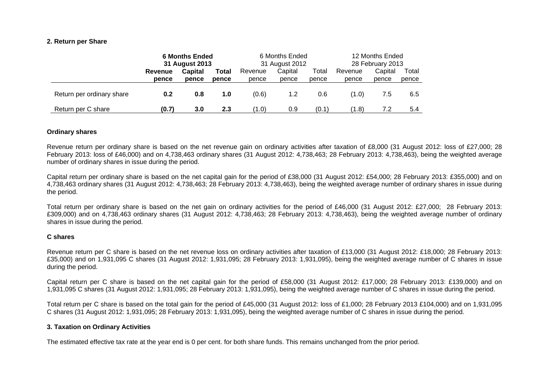#### **2. Return per Share**

|                           | <b>6 Months Ended</b><br>31 August 2013 |                | 6 Months Ended<br>31 August 2012 |         | 12 Months Ended<br>28 February 2013 |       |         |         |       |
|---------------------------|-----------------------------------------|----------------|----------------------------------|---------|-------------------------------------|-------|---------|---------|-------|
|                           | Revenue                                 | <b>Capital</b> | <b>Total</b>                     | Revenue | Capital                             | Total | Revenue | Capital | Total |
|                           | pence                                   | pence          | pence                            | pence   | pence                               | pence | pence   | pence   | pence |
| Return per ordinary share | 0.2                                     | 0.8            | 1.0                              | (0.6)   | 1.2                                 | 0.6   | (1.0)   | 7.5     | 6.5   |
| Return per C share        | (0.7)                                   | 3.0            | 2.3                              | (1.0)   | 0.9                                 | (0.1) | (1.8)   | 7.2     | 5.4   |

#### **Ordinary shares**

Revenue return per ordinary share is based on the net revenue gain on ordinary activities after taxation of £8,000 (31 August 2012: loss of £27,000; 28 February 2013: loss of £46,000) and on 4,738,463 ordinary shares (31 August 2012: 4,738,463; 28 February 2013: 4,738,463), being the weighted average number of ordinary shares in issue during the period.

Capital return per ordinary share is based on the net capital gain for the period of £38,000 (31 August 2012: £54,000; 28 February 2013: £355,000) and on 4,738,463 ordinary shares (31 August 2012: 4,738,463; 28 February 2013: 4,738,463), being the weighted average number of ordinary shares in issue during the period.

Total return per ordinary share is based on the net gain on ordinary activities for the period of £46,000 (31 August 2012: £27,000; 28 February 2013: £309,000) and on 4,738,463 ordinary shares (31 August 2012: 4,738,463; 28 February 2013: 4,738,463), being the weighted average number of ordinary shares in issue during the period.

#### **C shares**

Revenue return per C share is based on the net revenue loss on ordinary activities after taxation of £13,000 (31 August 2012: £18,000; 28 February 2013: £35,000) and on 1,931,095 C shares (31 August 2012: 1,931,095; 28 February 2013: 1,931,095), being the weighted average number of C shares in issue during the period.

Capital return per C share is based on the net capital gain for the period of £58,000 (31 August 2012: £17,000; 28 February 2013: £139,000) and on 1,931,095 C shares (31 August 2012: 1,931,095; 28 February 2013: 1,931,095), being the weighted average number of C shares in issue during the period.

Total return per C share is based on the total gain for the period of £45,000 (31 August 2012: loss of £1,000; 28 February 2013 £104,000) and on 1,931,095 C shares (31 August 2012: 1,931,095; 28 February 2013: 1,931,095), being the weighted average number of C shares in issue during the period.

#### **3. Taxation on Ordinary Activities**

The estimated effective tax rate at the year end is 0 per cent. for both share funds. This remains unchanged from the prior period.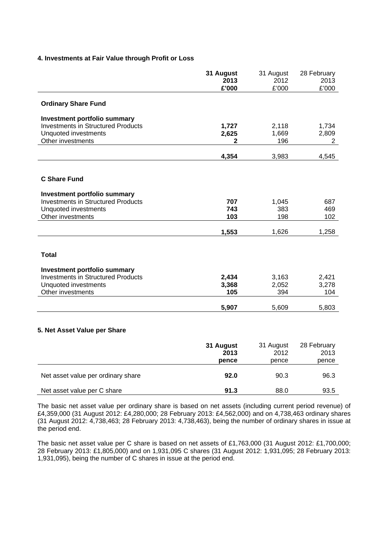### **4. Investments at Fair Value through Profit or Loss**

|                                           | 31 August<br>2013<br>£'000 | 31 August<br>2012<br>£'000 | 28 February<br>2013<br>£'000 |
|-------------------------------------------|----------------------------|----------------------------|------------------------------|
| <b>Ordinary Share Fund</b>                |                            |                            |                              |
| <b>Investment portfolio summary</b>       |                            |                            |                              |
| <b>Investments in Structured Products</b> | 1,727                      | 2,118                      | 1,734                        |
| Unquoted investments                      | 2,625                      | 1,669                      | 2,809                        |
| Other investments                         | 2                          | 196                        | $\overline{2}$               |
|                                           | 4,354                      | 3,983                      | 4,545                        |
|                                           |                            |                            |                              |
| <b>C Share Fund</b>                       |                            |                            |                              |
| <b>Investment portfolio summary</b>       |                            |                            |                              |
| <b>Investments in Structured Products</b> | 707                        | 1,045                      | 687                          |
| Unquoted investments                      | 743                        | 383                        | 469                          |
| Other investments                         | 103                        | 198                        | 102                          |
|                                           | 1,553                      | 1,626                      | 1,258                        |
|                                           |                            |                            |                              |
| <b>Total</b>                              |                            |                            |                              |
| <b>Investment portfolio summary</b>       |                            |                            |                              |
| <b>Investments in Structured Products</b> | 2,434                      | 3,163                      | 2,421                        |
| Unquoted investments                      | 3,368                      | 2,052                      | 3,278                        |
| Other investments                         | 105                        | 394                        | 104                          |
|                                           | 5,907                      | 5,609                      | 5,803                        |
|                                           |                            |                            |                              |
| 5. Net Asset Value per Share              |                            |                            |                              |
|                                           |                            |                            |                              |
|                                           | 31 August                  | 31 August                  | 28 February                  |
|                                           | 2013                       | 2012                       | 2013                         |
|                                           | pence                      | pence                      | pence                        |
| Net asset value per ordinary share        | 92.0                       | 90.3                       | 96.3                         |
|                                           |                            |                            |                              |
| Net asset value per C share               | 91.3                       | 88.0                       | 93.5                         |

The basic net asset value per ordinary share is based on net assets (including current period revenue) of £4,359,000 (31 August 2012: £4,280,000; 28 February 2013: £4,562,000) and on 4,738,463 ordinary shares (31 August 2012: 4,738,463; 28 February 2013: 4,738,463), being the number of ordinary shares in issue at the period end.

The basic net asset value per C share is based on net assets of £1,763,000 (31 August 2012: £1,700,000; 28 February 2013: £1,805,000) and on 1,931,095 C shares (31 August 2012: 1,931,095; 28 February 2013: 1,931,095), being the number of C shares in issue at the period end.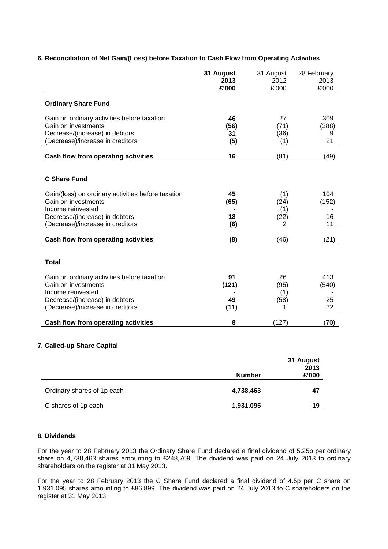|                                                                                                                                          | 31 August<br>2013<br>£'000 | 31 August<br>2012<br>£'000 | 28 February<br>2013<br>£'000 |
|------------------------------------------------------------------------------------------------------------------------------------------|----------------------------|----------------------------|------------------------------|
| <b>Ordinary Share Fund</b>                                                                                                               |                            |                            |                              |
| Gain on ordinary activities before taxation<br>Gain on investments<br>Decrease/(increase) in debtors<br>(Decrease)/increase in creditors | 46<br>(56)<br>31<br>(5)    | 27<br>(71)<br>(36)<br>(1)  | 309<br>(388)<br>9<br>21      |
| Cash flow from operating activities                                                                                                      | 16                         | (81)                       | (49)                         |
| <b>C Share Fund</b>                                                                                                                      |                            |                            |                              |
| Gain/(loss) on ordinary activities before taxation<br>Gain on investments                                                                | 45<br>(65)                 | (1)<br>(24)                | 104<br>(152)                 |
| Income reinvested                                                                                                                        |                            | (1)                        |                              |
| Decrease/(increase) in debtors                                                                                                           | 18                         | (22)                       | 16                           |
| (Decrease)/increase in creditors                                                                                                         | (6)                        | $\overline{2}$             | 11                           |
| Cash flow from operating activities                                                                                                      | (8)                        | (46)                       | (21)                         |
| <b>Total</b>                                                                                                                             |                            |                            |                              |
| Gain on ordinary activities before taxation                                                                                              | 91                         | 26                         | 413                          |
| Gain on investments                                                                                                                      | (121)                      | (95)                       | (540)                        |
| Income reinvested<br>Decrease/(increase) in debtors                                                                                      | 49                         | (1)<br>(58)                | 25                           |
| (Decrease)/increase in creditors                                                                                                         | (11)                       | 1                          | 32                           |
|                                                                                                                                          |                            |                            |                              |
| Cash flow from operating activities                                                                                                      | 8                          | (127)                      | (70)                         |
|                                                                                                                                          |                            |                            |                              |

### **6. Reconciliation of Net Gain/(Loss) before Taxation to Cash Flow from Operating Activities**

# **7. Called-up Share Capital**

|                            | <b>Number</b> | 31 August<br>2013<br>£'000 |
|----------------------------|---------------|----------------------------|
| Ordinary shares of 1p each | 4,738,463     | 47                         |
| C shares of 1p each        | 1,931,095     | 19                         |

# **8. Dividends**

For the year to 28 February 2013 the Ordinary Share Fund declared a final dividend of 5.25p per ordinary share on 4,738,463 shares amounting to £248,769. The dividend was paid on 24 July 2013 to ordinary shareholders on the register at 31 May 2013.

For the year to 28 February 2013 the C Share Fund declared a final dividend of 4.5p per C share on 1,931,095 shares amounting to £86,899. The dividend was paid on 24 July 2013 to C shareholders on the register at 31 May 2013.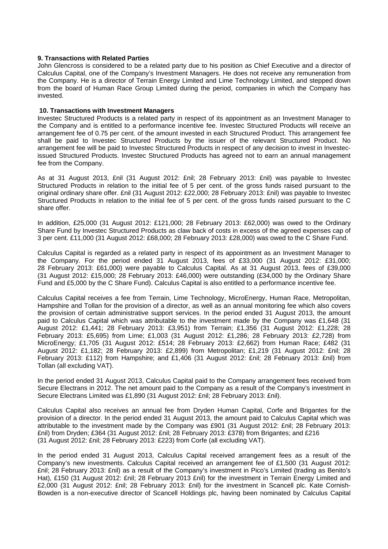#### **9. Transactions with Related Parties**

John Glencross is considered to be a related party due to his position as Chief Executive and a director of Calculus Capital, one of the Company's Investment Managers. He does not receive any remuneration from the Company. He is a director of Terrain Energy Limited and Lime Technology Limited, and stepped down from the board of Human Race Group Limited during the period, companies in which the Company has invested.

#### **10. Transactions with Investment Managers**

Investec Structured Products is a related party in respect of its appointment as an Investment Manager to the Company and is entitled to a performance incentive fee. Investec Structured Products will receive an arrangement fee of 0.75 per cent. of the amount invested in each Structured Product. This arrangement fee shall be paid to Investec Structured Products by the issuer of the relevant Structured Product. No arrangement fee will be paid to Investec Structured Products in respect of any decision to invest in Investecissued Structured Products. Investec Structured Products has agreed not to earn an annual management fee from the Company.

As at 31 August 2013, £nil (31 August 2012: £nil; 28 February 2013: £nil) was payable to Investec Structured Products in relation to the initial fee of 5 per cent. of the gross funds raised pursuant to the original ordinary share offer. £nil (31 August 2012: £22,000; 28 February 2013: £nil) was payable to Investec Structured Products in relation to the initial fee of 5 per cent. of the gross funds raised pursuant to the C share offer.

In addition, £25,000 (31 August 2012: £121,000; 28 February 2013: £62,000) was owed to the Ordinary Share Fund by Investec Structured Products as claw back of costs in excess of the agreed expenses cap of 3 per cent. £11,000 (31 August 2012: £68,000; 28 February 2013: £28,000) was owed to the C Share Fund.

Calculus Capital is regarded as a related party in respect of its appointment as an Investment Manager to the Company. For the period ended 31 August 2013, fees of £33,000 (31 August 2012: £31,000; 28 February 2013: £61,000) were payable to Calculus Capital. As at 31 August 2013, fees of £39,000 (31 August 2012: £15,000; 28 February 2013: £46,000) were outstanding (£34,000 by the Ordinary Share Fund and £5,000 by the C Share Fund). Calculus Capital is also entitled to a performance incentive fee.

Calculus Capital receives a fee from Terrain, Lime Technology, MicroEnergy, Human Race, Metropolitan, Hampshire and Tollan for the provision of a director, as well as an annual monitoring fee which also covers the provision of certain administrative support services. In the period ended 31 August 2013, the amount paid to Calculus Capital which was attributable to the investment made by the Company was £1,648 (31 August 2012: £1,441; 28 February 2013: £3,951) from Terrain; £1,356 (31 August 2012: £1,228; 28 February 2013: £5,695) from Lime; £1,003 (31 August 2012: £1,286; 28 February 2013: £2,728) from MicroEnergy; £1,705 (31 August 2012: £514; 28 February 2013: £2,662) from Human Race; £482 (31 August 2012: £1,182; 28 February 2013: £2,899) from Metropolitan; £1,219 (31 August 2012: £nil; 28 February 2013: £112) from Hampshire; and £1,406 (31 August 2012: £nil; 28 February 2013: £nil) from Tollan (all excluding VAT).

In the period ended 31 August 2013, Calculus Capital paid to the Company arrangement fees received from Secure Electrans in 2012. The net amount paid to the Company as a result of the Company's investment in Secure Electrans Limited was £1,890 (31 August 2012: £nil; 28 February 2013: £nil).

Calculus Capital also receives an annual fee from Dryden Human Capital, Corfe and Brigantes for the provision of a director. In the period ended 31 August 2013, the amount paid to Calculus Capital which was attributable to the investment made by the Company was £901 (31 August 2012: £nil; 28 February 2013: £nil) from Dryden; £364 (31 August 2012: £nil; 28 February 2013: £378) from Brigantes; and £216 (31 August 2012: £nil; 28 February 2013: £223) from Corfe (all excluding VAT).

In the period ended 31 August 2013, Calculus Capital received arrangement fees as a result of the Company's new investments. Calculus Capital received an arrangement fee of £1,500 (31 August 2012: £nil; 28 February 2013: £nil) as a result of the Company's investment in Pico's Limited (trading as Benito's Hat), £150 (31 August 2012: £nil; 28 February 2013 £nil) for the investment in Terrain Energy Limited and £2,000 (31 August 2012: £nil; 28 February 2013: £nil) for the investment in Scancell plc. Kate Cornish-Bowden is a non-executive director of Scancell Holdings plc, having been nominated by Calculus Capital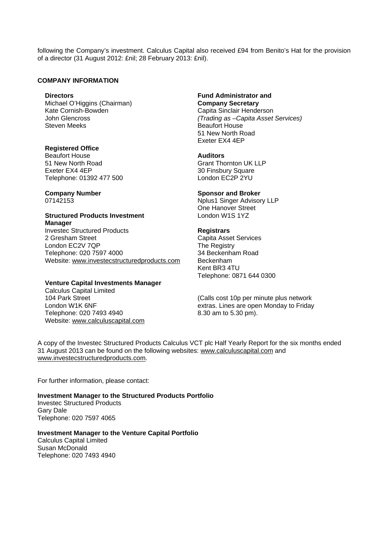following the Company's investment. Calculus Capital also received £94 from Benito's Hat for the provision of a director (31 August 2012: £nil; 28 February 2013: £nil).

### **COMPANY INFORMATION**

Michael O'Higgins (Chairman) **Company Secretary**<br>
Kate Cornish-Bowden **Cannel Access Capita** Sinclair Hende Kate Cornish-Bowden **Capita Sinclair Henderson**<br>John Glencross Capita Sinclair Henderson **Steven Meeks** Beaufort House

**Registered Office Beaufort House Auditors** 51 New North Road Grant Thornton UK LLP Exeter EX4 4EP 30 Finsbury Square Telephone: 01392 477 500 London EC2P 2YU

### **Structured Products Investment** London W1S 1YZ **Manager**

**Investec Structured Products Registrars** 2 Gresham Street<br>
London EC2V 7QP<br>
The Registry London EC2V 7QP<br>
The Registry<br>
Telephone: 020 7597 4000<br>
Telephone: 020 7597 4000 Telephone: 020 7597 4000 Website: www.investecstructuredproducts.com Beckenham

# **Venture Capital Investments Manager**

Calculus Capital Limited 104 Park Street London W1K 6NF Telephone: 020 7493 4940 Website: www.calculuscapital.com

**Directors Fund Administrator and**  *(Trading as –Capita Asset Services)*  51 New North Road Exeter EX4 4EP

### **Company Number Sponsor and Broker Company Number**

07142153 Nplus1 Singer Advisory LLP One Hanover Street

 Kent BR3 4TU Telephone: 0871 644 0300

(Calls cost 10p per minute plus network extras. Lines are open Monday to Friday 8.30 am to 5.30 pm).

A copy of the Investec Structured Products Calculus VCT plc Half Yearly Report for the six months ended 31 August 2013 can be found on the following websites: www.calculuscapital.com and www.investecstructuredproducts.com.

For further information, please contact:

**Investment Manager to the Structured Products Portfolio**  Investec Structured Products Gary Dale Telephone: 020 7597 4065

**Investment Manager to the Venture Capital Portfolio**  Calculus Capital Limited Susan McDonald Telephone: 020 7493 4940